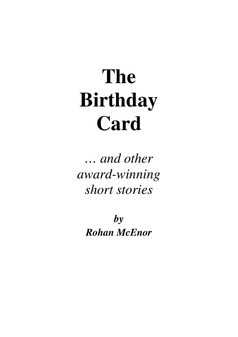# **The Birthday Card**

*… and other award-winning short stories*

*by Rohan McEnor*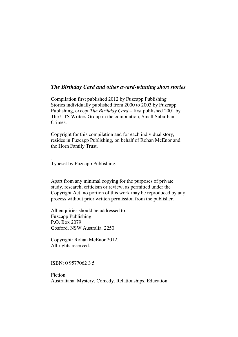#### *The Birthday Card and other award-winning short stories*

Compilation first published 2012 by Fuzcapp Publishing Stories individually published from 2000 to 2003 by Fuzcapp Publishing, except *The Birthday Card –* first published 2001 by The UTS Writers Group in the compilation, Small Suburban Crimes.

Copyright for this compilation and for each individual story, resides in Fuzcapp Publishing, on behalf of Rohan McEnor and the Horn Family Trust.

Typeset by Fuzcapp Publishing.

.

Apart from any minimal copying for the purposes of private study, research, criticism or review, as permitted under the Copyright Act, no portion of this work may be reproduced by any process without prior written permission from the publisher.

All enquiries should be addressed to: Fuzcapp Publishing P.O. Box 2079 Gosford. NSW Australia. 2250.

Copyright: Rohan McEnor 2012. All rights reserved.

ISBN: 0 9577062 3 5

Fiction. Australiana. Mystery. Comedy. Relationships. Education.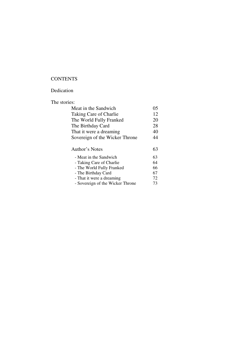## **CONTENTS**

#### Dedication

### The stories:

| Meat in the Sandwich             | 05 |
|----------------------------------|----|
| Taking Care of Charlie           | 12 |
| The World Fully Franked          | 20 |
| The Birthday Card                | 28 |
| That it were a dreaming          | 40 |
| Sovereign of the Wicker Throne   | 44 |
|                                  |    |
| Author's Notes                   | 63 |
| - Meat in the Sandwich           | 63 |
| - Taking Care of Charlie         | 64 |
| - The World Fully Franked        | 66 |
| - The Birthday Card              | 67 |
| - That it were a dreaming        | 72 |
| - Sovereign of the Wicker Throne | 73 |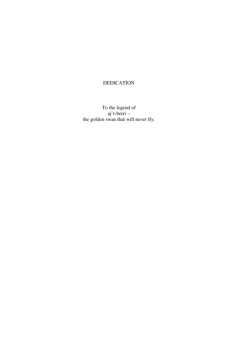## DEDICATION

To the legend of aj'r-berri – the golden swan that will never fly.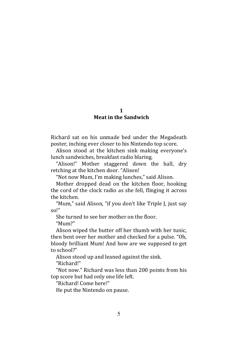#### 1 Meat in the Sandwich

Richard sat on his unmade bed under the Megadeath poster, inching ever closer to his Nintendo top score.

Alison stood at the kitchen sink making everyone's lunch sandwiches, breakfast radio blaring.

"Alison!" Mother staggered down the hall, dry retching at the kitchen door. "Alison!

"Not now Mum, I'm making lunches," said Alison.

Mother dropped dead on the kitchen floor, hooking the cord of the clock radio as she fell, flinging it across the kitchen.

"Mum," said Alison, "if you don't like Triple J, just say so!"

She turned to see her mother on the floor.

"Mum?"

Alison wiped the butter off her thumb with her tunic, then bent over her mother and checked for a pulse. "Oh, bloody brilliant Mum! And how are we supposed to get to school?"

Alison stood up and leaned against the sink.

"Richard!"

"Not now." Richard was less than 200 points from his top score but had only one life left.

"Richard! Come here!"

He put the Nintendo on pause.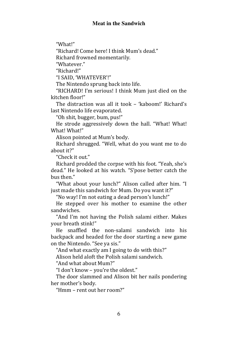"What!"

"Richard! Come here! I think Mum's dead."

Richard frowned momentarily.

"Whatever."

"Richard!"

"I SAID, 'WHATEVER'!"

The Nintendo sprung back into life.

"RICHARD! I'm serious! I think Mum just died on the kitchen floor!"

The distraction was all it took – 'kaboom!' Richard's last Nintendo life evaporated.

"Oh shit, bugger, bum, pus!"

He strode aggressively down the hall. "What! What! What! What!"

Alison pointed at Mum's body.

Richard shrugged. "Well, what do you want me to do about it?"

"Check it out."

Richard prodded the corpse with his foot. "Yeah, she's dead." He looked at his watch. "S'pose better catch the bus then."

"What about your lunch?" Alison called after him. "I just made this sandwich for Mum. Do you want it?"

"No way! I'm not eating a dead person's lunch!"

He stepped over his mother to examine the other sandwiches.

"And I'm not having the Polish salami either. Makes your breath stink!"

He snaffled the non-salami sandwich into his backpack and headed for the door starting a new game on the Nintendo. "See ya sis."

"And what exactly am I going to do with this?"

Alison held aloft the Polish salami sandwich.

"And what about Mum?"

"I don't know – you're the oldest."

The door slammed and Alison bit her nails pondering her mother's body.

"Hmm – rent out her room?"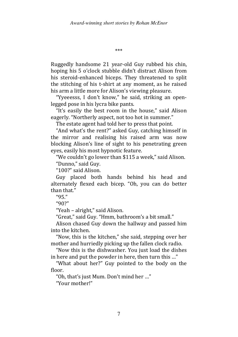\*\*\*

Ruggedly handsome 21 year-old Guy rubbed his chin, hoping his 5 o'clock stubble didn't distract Alison from his steroid-enhanced biceps. They threatened to split the stitching of his t-shirt at any moment, as he raised his arm a little more for Alison's viewing pleasure.

"Yyeeesss, I don't know," he said, striking an openlegged pose in his lycra bike pants.

"It's easily the best room in the house," said Alison eagerly. "Northerly aspect, not too hot in summer."

The estate agent had told her to press that point.

"And what's the rent?" asked Guy, catching himself in the mirror and realising his raised arm was now blocking Alison's line of sight to his penetrating green eyes, easily his most hypnotic feature.

"We couldn't go lower than \$115 a week," said Alison.

"Dunno," said Guy.

"100?" said Alison.

Guy placed both hands behind his head and alternately flexed each bicep. "Oh, you can do better than that."

"95."

"90?"

"Yeah – alright," said Alison.

"Great," said Guy. "Hmm, bathroom's a bit small."

Alison chased Guy down the hallway and passed him into the kitchen.

"Now, this is the kitchen," she said, stepping over her mother and hurriedly picking up the fallen clock radio.

"Now this is the dishwasher. You just load the dishes in here and put the powder in here, then turn this …"

"What about her?" Guy pointed to the body on the floor.

"Oh, that's just Mum. Don't mind her …"

"Your mother!"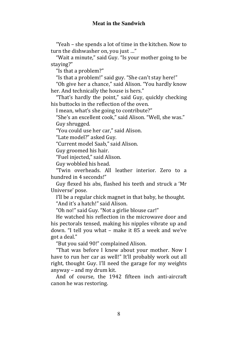"Yeah – she spends a lot of time in the kitchen. Now to turn the dishwasher on, you just …"

"Wait a minute," said Guy. "Is your mother going to be staying?"

"Is that a problem?"

"Is that a problem!" said guy. "She can't stay here!"

"Oh give her a chance," said Alison. "You hardly know her. And technically the house is hers."

"That's hardly the point," said Guy, quickly checking his buttocks in the reflection of the oven.

I mean, what's she going to contribute?"

"She's an excellent cook," said Alison. "Well, she was." Guy shrugged.

"You could use her car," said Alison.

"Late model?" asked Guy.

"Current model Saab," said Alison.

Guy groomed his hair.

"Fuel injected," said Alison.

Guy wobbled his head.

"Twin overheads. All leather interior. Zero to a hundred in 4 seconds!"

Guy flexed his abs, flashed his teeth and struck a 'Mr Universe' pose.

I'll be a regular chick magnet in that baby, he thought. "And it's a hatch!" said Alison.

"Oh no!" said Guy. "Not a girlie blouse car!"

He watched his reflection in the microwave door and his pectorals tensed, making his nipples vibrate up and down. "I tell you what – make it 85 a week and we've got a deal."

"But you said 90!" complained Alison.

"That was before I knew about your mother. Now I have to run her car as well!" It'll probably work out all right, thought Guy. I'll need the garage for my weights anyway – and my drum kit.

And of course, the 1942 fifteen inch anti-aircraft canon he was restoring.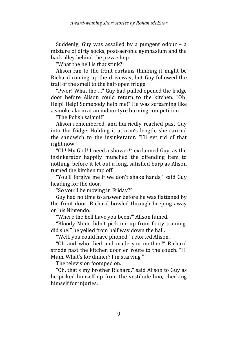Suddenly, Guy was assailed by a pungent odour – a mixture of dirty socks, post-aerobic gymnasium and the back alley behind the pizza shop.

"What the hell is that stink?"

Alison ran to the front curtains thinking it might be Richard coming up the driveway, but Guy followed the trail of the smell to the half-open fridge.

"Pwor! What the …" Guy had pulled opened the fridge door before Alison could return to the kitchen. "Oh! Help! Help! Somebody help me!" He was screaming like a smoke alarm at an indoor tyre burning competition.

"The Polish salami!"

Alison remembered, and hurriedly reached past Guy into the fridge. Holding it at arm's length, she carried the sandwich to the insinkerator. "I'll get rid of that right now."

"Oh! My God! I need a shower!" exclaimed Guy, as the insinkerator happily munched the offending item to nothing, before it let out a long, satisfied burp as Alison turned the kitchen tap off.

"You'll forgive me if we don't shake hands," said Guy heading for the door.

"So you'll be moving in Friday?"

Guy had no time to answer before he was flattened by the front door. Richard bowled through beeping away on his Nintendo.

"Where the hell have you been?" Alison fumed.

"Bloody Mum didn't pick me up from footy training, did she!" he yelled from half way down the hall.

"Well, you could have phoned," retorted Alison.

"Oh and who died and made you mother?" Richard strode past the kitchen door en route to the couch. "Hi Mum. What's for dinner? I'm starving."

The television foomped on.

"Oh, that's my brother Richard," said Alison to Guy as he picked himself up from the vestibule lino, checking himself for injuries.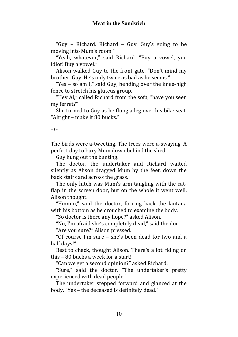"Guy – Richard. Richard – Guy. Guy's going to be moving into Mum's room."

"Yeah, whatever," said Richard. "Buy a vowel, you idiot! Buy a vowel."

Alison walked Guy to the front gate. "Don't mind my brother, Guy. He's only twice as bad as he seems."

"Yes – so am I," said Guy, bending over the knee-high fence to stretch his gluteus group.

"Hey Al," called Richard from the sofa, "have you seen my ferret?"

She turned to Guy as he flung a leg over his bike seat. "Alright – make it 80 bucks."

\*\*\*

The birds were a-tweeting. The trees were a-swaying. A perfect day to bury Mum down behind the shed.

Guy hung out the bunting.

The doctor, the undertaker and Richard waited silently as Alison dragged Mum by the feet, down the back stairs and across the grass.

The only hitch was Mum's arm tangling with the catflap in the screen door, but on the whole it went well, Alison thought.

"Hmmm," said the doctor, forcing back the lantana with his bottom as he crouched to examine the body.

"So doctor is there any hope?" asked Alison.

"No, I'm afraid she's completely dead," said the doc.

"Are you sure?" Alison pressed.

"Of course I'm sure – she's been dead for two and a half days!"

Best to check, thought Alison. There's a lot riding on this – 80 bucks a week for a start!

"Can we get a second opinion?" asked Richard.

"Sure," said the doctor. "The undertaker's pretty experienced with dead people."

The undertaker stepped forward and glanced at the body. "Yes – the deceased is definitely dead."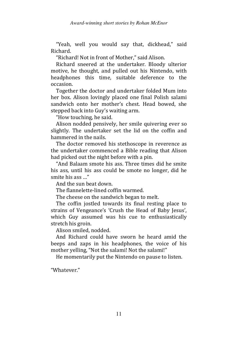"Yeah, well you would say that, dickhead," said Richard.

"Richard! Not in front of Mother," said Alison.

Richard sneered at the undertaker. Bloody ulterior motive, he thought, and pulled out his Nintendo, with headphones this time, suitable deference to the occasion.

Together the doctor and undertaker folded Mum into her box. Alison lovingly placed one final Polish salami sandwich onto her mother's chest. Head bowed, she stepped back into Guy's waiting arm.

"How touching, he said.

Alison nodded pensively, her smile quivering ever so slightly. The undertaker set the lid on the coffin and hammered in the nails.

The doctor removed his stethoscope in reverence as the undertaker commenced a Bible reading that Alison had picked out the night before with a pin.

"And Balaam smote his ass. Three times did he smite his ass, until his ass could be smote no longer, did he smite his ass …"

And the sun beat down.

The flannelette-lined coffin warmed.

The cheese on the sandwich began to melt.

The coffin jostled towards its final resting place to strains of Vengeance's 'Crush the Head of Baby Jesus', which Guy assumed was his cue to enthusiastically stretch his groin.

Alison smiled, nodded.

And Richard could have sworn he heard amid the beeps and zaps in his headphones, the voice of his mother yelling, "Not the salami! Not the salami!"

He momentarily put the Nintendo on pause to listen.

"Whatever."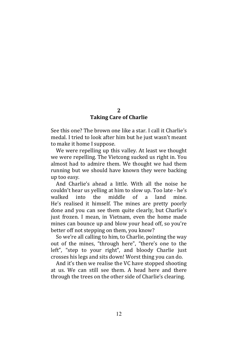#### 2 Taking Care of Charlie

See this one? The brown one like a star. I call it Charlie's medal. I tried to look after him but he just wasn't meant to make it home I suppose.

We were repelling up this valley. At least we thought we were repelling. The Vietcong sucked us right in. You almost had to admire them. We thought we had them running but we should have known they were backing up too easy.

And Charlie's ahead a little. With all the noise he couldn't hear us yelling at him to slow up. Too late - he's walked into the middle of a land mine. He's realised it himself. The mines are pretty poorly done and you can see them quite clearly, but Charlie's just frozen. I mean, in Vietnam, even the home made mines can bounce up and blow your head off, so you're better off not stepping on them, you know?

So we're all calling to him, to Charlie, pointing the way out of the mines, "through here", "there's one to the left", "step to your right", and bloody Charlie just crosses his legs and sits down! Worst thing you can do.

And it's then we realise the VC have stopped shooting at us. We can still see them. A head here and there through the trees on the other side of Charlie's clearing.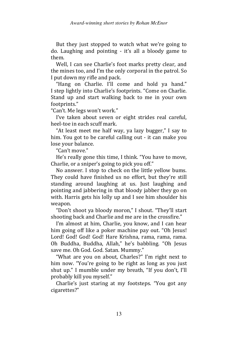But they just stopped to watch what we're going to do. Laughing and pointing - it's all a bloody game to them.

Well, I can see Charlie's foot marks pretty clear, and the mines too, and I'm the only corporal in the patrol. So I put down my rifle and pack.

"Hang on Charlie. I'll come and hold ya hand." I step lightly into Charlie's footprints. "Come on Charlie. Stand up and start walking back to me in your own footprints."

"Can't. Me legs won't work."

I've taken about seven or eight strides real careful, heel-toe in each scuff mark.

"At least meet me half way, ya lazy bugger," I say to him. You got to be careful calling out - it can make you lose your balance.

"Can't move."

He's really gone this time, I think. "You have to move, Charlie, or a sniper's going to pick you off."

No answer. I stop to check on the little yellow bums. They could have finished us no effort, but they're still standing around laughing at us. Just laughing and pointing and jabbering in that bloody jabber they go on with. Harris gets his lolly up and I see him shoulder his weapon.

"Don't shoot ya bloody moron," I shout. "They'll start shooting back and Charlie and me are in the crossfire."

I'm almost at him, Charlie, you know, and I can hear him going off like a poker machine pay out. "Oh Jesus! Lord! God! God! God! Hare Krishna, rama, rama, rama. Oh Buddha, Buddha, Allah," he's babbling. "Oh Jesus save me. Oh God. God. Satan. Mummy."

"What are you on about, Charles?" I'm right next to him now. "You're going to be right as long as you just shut up." I mumble under my breath, "If you don't, I'll probably kill you myself."

Charlie's just staring at my footsteps. "You got any cigarettes?"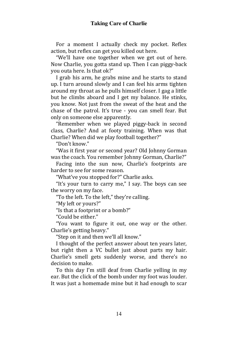### **Taking Care of Charlie**

For a moment I actually check my pocket. Reflex action, but reflex can get you killed out here.

"We'll have one together when we get out of here. Now Charlie, you gotta stand up. Then I can piggy-back you outa here. Is that ok?"

I grab his arm, he grabs mine and he starts to stand up. I turn around slowly and I can feel his arms tighten around my throat as he pulls himself closer. I gag a little but he climbs aboard and I get my balance. He stinks, you know. Not just from the sweat of the heat and the chase of the patrol. It's true - you can smell fear. But only on someone else apparently.

"Remember when we played piggy-back in second class, Charlie? And at footy training. When was that Charlie? When did we play football together?"

"Don't know."

"Was it first year or second year? Old Johnny Gorman was the coach. You remember Johnny Gorman, Charlie?"

Facing into the sun now, Charlie's footprints are harder to see for some reason.

"What've you stopped for?" Charlie asks.

"It's your turn to carry me," I say. The boys can see the worry on my face.

"To the left. To the left," they're calling.

"My left or yours?"

"Is that a footprint or a bomb?"

"Could be either"

"You want to figure it out, one way or the other. Charlie's getting heavy."

"Step on it and then we'll all know."

I thought of the perfect answer about ten years later, but right then a VC bullet just about parts my hair. Charlie's smell gets suddenly worse, and there's no decision to make.

To this day I'm still deaf from Charlie yelling in my ear. But the click of the bomb under my foot was louder. It was just a homemade mine but it had enough to scar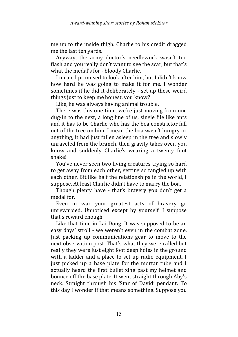me up to the inside thigh. Charlie to his credit dragged me the last ten yards.

Anyway, the army doctor's needlework wasn't too flash and you really don't want to see the scar, but that's what the medal's for - bloody Charlie.

I mean, I promised to look after him, but I didn't know how hard he was going to make it for me. I wonder sometimes if he did it deliberately - set up these weird things just to keep me honest, you know?

Like, he was always having animal trouble.

There was this one time, we're just moving from one dug-in to the next, a long line of us, single file like ants and it has to be Charlie who has the boa constrictor fall out of the tree on him. I mean the boa wasn't hungry or anything, it had just fallen asleep in the tree and slowly unraveled from the branch, then gravity takes over, you know and suddenly Charlie's wearing a twenty foot snake!

You've never seen two living creatures trying so hard to get away from each other, getting so tangled up with each other. Bit like half the relationships in the world, I suppose. At least Charlie didn't have to marry the boa.

Though plenty have - that's bravery you don't get a medal for.

Even in war your greatest acts of bravery go unrewarded. Unnoticed except by yourself. I suppose that's reward enough.

Like that time in Lai Dong. It was supposed to be an easy days' stroll - we weren't even in the combat zone. Just packing up communications gear to move to the next observation post. That's what they were called but really they were just eight foot deep holes in the ground with a ladder and a place to set up radio equipment. I just picked up a base plate for the mortar tube and I actually heard the first bullet zing past my helmet and bounce off the base plate. It went straight through Aby's neck. Straight through his 'Star of David' pendant. To this day I wonder if that means something. Suppose you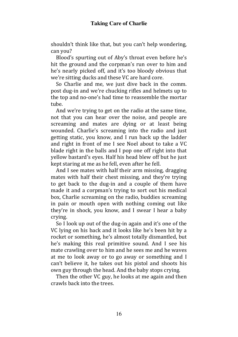shouldn't think like that, but you can't help wondering, can you?

Blood's spurting out of Aby's throat even before he's hit the ground and the corpman's run over to him and he's nearly picked off, and it's too bloody obvious that we're sitting ducks and these VC are hard core.

So Charlie and me, we just dive back in the comm. post dug-in and we're chucking rifles and helmets up to the top and no-one's had time to reassemble the mortar tube.

And we're trying to get on the radio at the same time, not that you can hear over the noise, and people are screaming and mates are dying or at least being wounded. Charlie's screaming into the radio and just getting static, you know, and I run back up the ladder and right in front of me I see Noel about to take a VC blade right in the balls and I pop one off right into that yellow bastard's eyes. Half his head blew off but he just kept staring at me as he fell, even after he fell.

And I see mates with half their arm missing, dragging mates with half their chest missing, and they're trying to get back to the dug-in and a couple of them have made it and a corpman's trying to sort out his medical box, Charlie screaming on the radio, buddies screaming in pain or mouth open with nothing coming out like they're in shock, you know, and I swear I hear a baby crying.

So I look up out of the dug-in again and it's one of the VC lying on his back and it looks like he's been hit by a rocket or something, he's almost totally dismantled, but he's making this real primitive sound. And I see his mate crawling over to him and he sees me and he waves at me to look away or to go away or something and I can't believe it, he takes out his pistol and shoots his own guy through the head. And the baby stops crying.

Then the other VC guy, he looks at me again and then crawls back into the trees.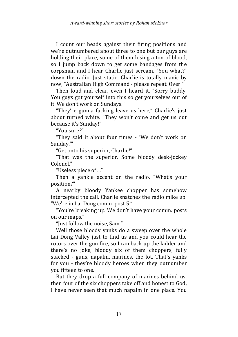I count our heads against their firing positions and we're outnumbered about three to one but our guys are holding their place, some of them losing a ton of blood, so I jump back down to get some bandages from the corpsman and I hear Charlie just scream, "You what?" down the radio. Just static. Charlie is totally manic by now, "Australian High Command - please repeat. Over."

Then loud and clear, even I heard it. "Sorry buddy. You guys got yourself into this so get yourselves out of it. We don't work on Sundays."

"They're gunna fucking leave us here," Charlie's just about turned white. "They won't come and get us out because it's Sunday!"

"You sure?"

"They said it about four times - 'We don't work on Sunday.'"

"Get onto his superior, Charlie!"

"That was the superior. Some bloody desk-jockey Colonel<sup>"</sup>

"Useless piece of ..."

Then a yankie accent on the radio. "What's your position?"

A nearby bloody Yankee chopper has somehow intercepted the call. Charlie snatches the radio mike up. "We're in Lai Dong comm. post 5."

"You're breaking up. We don't have your comm. posts on our maps."

"Just follow the noise, Sam."

Well those bloody yanks do a sweep over the whole Lai Dong Valley just to find us and you could hear the rotors over the gun fire, so I ran back up the ladder and there's no joke, bloody six of them choppers, fully stacked - guns, napalm, marines, the lot. That's yanks for you - they're bloody heroes when they outnumber you fifteen to one.

But they drop a full company of marines behind us, then four of the six choppers take off and honest to God, I have never seen that much napalm in one place. You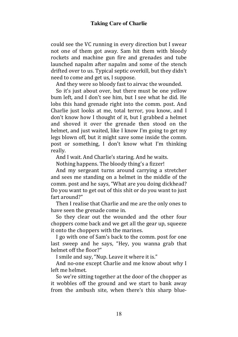could see the VC running in every direction but I swear not one of them got away. Sam hit them with bloody rockets and machine gun fire and grenades and tube launched napalm after napalm and some of the stench drifted over to us. Typical septic overkill, but they didn't need to come and get us, I suppose.

And they were so bloody fast to airvac the wounded.

So it's just about over, but there must be one yellow bum left, and I don't see him, but I see what he did. He lobs this hand grenade right into the comm. post. And Charlie just looks at me, total terror, you know, and I don't know how I thought of it, but I grabbed a helmet and shoved it over the grenade then stood on the helmet, and just waited, like I know I'm going to get my legs blown off, but it might save some inside the comm. post or something, I don't know what I'm thinking really.

And I wait. And Charlie's staring. And he waits.

Nothing happens. The bloody thing's a fizzer!

And my sergeant turns around carrying a stretcher and sees me standing on a helmet in the middle of the comm. post and he says, "What are you doing dickhead? Do you want to get out of this shit or do you want to just fart around?"

Then I realise that Charlie and me are the only ones to have seen the grenade come in.

So they clear out the wounded and the other four choppers come back and we get all the gear up, squeeze it onto the choppers with the marines.

I go with one of Sam's back to the comm. post for one last sweep and he says, "Hey, you wanna grab that helmet off the floor?"

I smile and say, "Nup. Leave it where it is."

And no-one except Charlie and me know about why I left me helmet.

So we're sitting together at the door of the chopper as it wobbles off the ground and we start to bank away from the ambush site, when there's this sharp blue-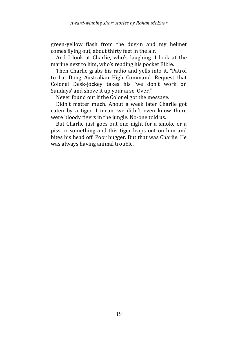green-yellow flash from the dug-in and my helmet comes flying out, about thirty feet in the air.

And I look at Charlie, who's laughing. I look at the marine next to him, who's reading his pocket Bible.

Then Charlie grabs his radio and yells into it, "Patrol to Lai Dong Australian High Command. Request that Colonel Desk-jockey takes his 'we don't work on Sundays' and shove it up your arse. Over."

Never found out if the Colonel got the message.

Didn't matter much. About a week later Charlie got eaten by a tiger. I mean, we didn't even know there were bloody tigers in the jungle. No-one told us.

But Charlie just goes out one night for a smoke or a piss or something and this tiger leaps out on him and bites his head off. Poor bugger. But that was Charlie. He was always having animal trouble.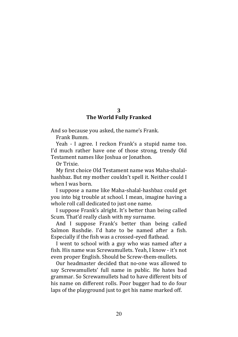#### 3 The World Fully Franked

And so because you asked, the name's Frank.

Frank Bumm.

Yeah - I agree. I reckon Frank's a stupid name too. I'd much rather have one of those strong, trendy Old Testament names like Joshua or Jonathon.

Or Trixie.

My first choice Old Testament name was Maha-shalalhashbaz. But my mother couldn't spell it. Neither could I when I was born.

I suppose a name like Maha-shalal-hashbaz could get you into big trouble at school. I mean, imagine having a whole roll call dedicated to just one name.

I suppose Frank's alright. It's better than being called Scum. That'd really clash with my surname.

And I suppose Frank's better than being called Salmon Rushdie. I'd hate to be named after a fish. Especially if the fish was a crossed-eyed flathead.

I went to school with a guy who was named after a fish. His name was Screwamullets. Yeah, I know - it's not even proper English. Should be Screw-them-mullets.

Our headmaster decided that no-one was allowed to say Screwamullets' full name in public. He hates bad grammar. So Screwamullets had to have different bits of his name on different rolls. Poor bugger had to do four laps of the playground just to get his name marked off.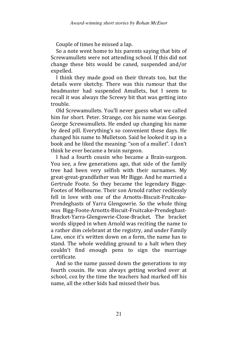Couple of times he missed a lap.

So a note went home to his parents saying that bits of Screwamullets were not attending school. If this did not change these bits would be caned, suspended and/or expelled.

I think they made good on their threats too, but the details were sketchy. There was this rumour that the headmaster had suspended Amullets, but I seem to recall it was always the Screwy bit that was getting into trouble.

Old Screwamullets. You'll never guess what we called him for short. Peter. Strange, coz his name was George. George Screwamullets. He ended up changing his name by deed pill. Everything's so convenient these days. He changed his name to Mulletson. Said he looked it up in a book and he liked the meaning: "son of a mullet". I don't think he ever became a brain surgeon.

I had a fourth cousin who became a Brain-surgeon. You see, a few generations ago, that side of the family tree had been very selfish with their surnames. My great-great-grandfather was Mr Bigge. And he married a Gertrude Foote. So they became the legendary Bigge-Footes of Melbourne. Their son Arnold rather recklessly fell in love with one of the Arnotts-Biscuit-Fruitcake-Prendeghasts of Yarra Glengowrie. So the whole thing was Bigg-Foote-Arnotts-Biscuit-Fruitcake-Prendeghast-Bracket-Yarra-Glengowrie-Close-Bracket. The bracket words slipped in when Arnold was reciting the name to a rather dim celebrant at the registry, and under Family Law, once it's written down on a form, the name has to stand. The whole wedding ground to a halt when they couldn't find enough pens to sign the marriage certificate.

And so the name passed down the generations to my fourth cousin. He was always getting worked over at school, coz by the time the teachers had marked off his name, all the other kids had missed their bus.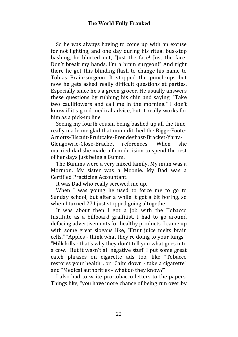So he was always having to come up with an excuse for not fighting, and one day during his ritual bus-stop bashing, he blurted out, "Just the face! Just the face! Don't break my hands. I'm a brain surgeon!" And right there he got this blinding flash to change his name to Tobias Brain-surgeon. It stopped the punch-ups but now he gets asked really difficult questions at parties. Especially since he's a green grocer. He usually answers these questions by rubbing his chin and saying, "Take two cauliflowers and call me in the morning." I don't know if it's good medical advice, but it really works for him as a pick-up line.

Seeing my fourth cousin being bashed up all the time, really made me glad that mum ditched the Bigge-Foote-Arnotts-Biscuit-Fruitcake-Prendeghast-Bracket-Yarra-Glengowrie-Close-Bracket references. When she married dad she made a firm decision to spend the rest of her days just being a Bumm.

The Bumms were a very mixed family. My mum was a Mormon. My sister was a Moonie. My Dad was a Certified Practicing Accountant.

It was Dad who really screwed me up.

When I was young he used to force me to go to Sunday school, but after a while it got a bit boring, so when I turned 27 I just stopped going altogether.

It was about then I got a job with the Tobacco Institute as a billboard graffitist. I had to go around defacing advertisements for healthy products. I came up with some great slogans like, "Fruit juice melts brain cells." "Apples - think what they're doing to your lungs." "Milk kills - that's why they don't tell you what goes into a cow." But it wasn't all negative stuff. I put some great catch phrases on cigarette ads too, like "Tobacco restores your health", or "Calm down - take a cigarette" and "Medical authorities - what do they know?"

I also had to write pro-tobacco letters to the papers. Things like, "you have more chance of being run over by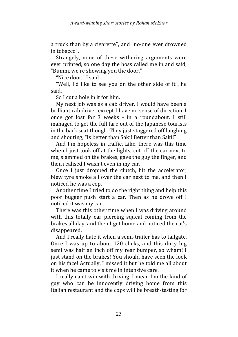a truck than by a cigarette", and "no-one ever drowned in tobacco".

Strangely, none of these withering arguments were ever printed, so one day the boss called me in and said, "Bumm, we're showing you the door."

"Nice door," I said.

"Well, I'd like to see you on the other side of it", he said.

So I cut a hole in it for him.

My next job was as a cab driver. I would have been a brilliant cab driver except I have no sense of direction. I once got lost for 3 weeks - in a roundabout. I still managed to get the full fare out of the Japanese tourists in the back seat though. They just staggered off laughing and shouting, "Is better than Saki! Better than Saki!"

And I'm hopeless in traffic. Like, there was this time when I just took off at the lights, cut off the car next to me, slammed on the brakes, gave the guy the finger, and then realised I wasn't even in my car.

Once I just dropped the clutch, hit the accelerator, blew tyre smoke all over the car next to me, and then I noticed he was a cop.

Another time I tried to do the right thing and help this poor bugger push start a car. Then as he drove off I noticed it was my car.

There was this other time when I was driving around with this totally ear piercing squeal coming from the brakes all day, and then I get home and noticed the cat's disappeared.

And I really hate it when a semi-trailer has to tailgate. Once I was up to about 120 clicks, and this dirty big semi was half an inch off my rear bumper, so wham! I just stand on the brakes! You should have seen the look on his face! Actually, I missed it but he told me all about it when he came to visit me in intensive care.

I really can't win with driving. I mean I'm the kind of guy who can be innocently driving home from this Italian restaurant and the cops will be breath-testing for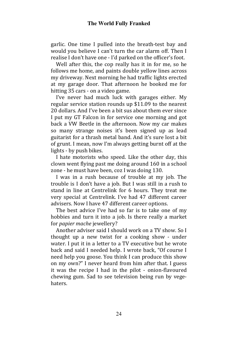garlic. One time I pulled into the breath-test bay and would you believe I can't turn the car alarm off. Then I realise I don't have one - I'd parked on the officer's foot.

Well after this, the cop really has it in for me, so he follows me home, and paints double yellow lines across my driveway. Next morning he had traffic lights erected at my garage door. That afternoon he booked me for hitting 35 cars - on a video game.

I've never had much luck with garages either. My regular service station rounds up \$11.09 to the nearest 20 dollars. And I've been a bit sus about them ever since I put my GT Falcon in for service one morning and got back a VW Beetle in the afternoon. Now my car makes so many strange noises it's been signed up as lead guitarist for a thrash metal band. And it's sure lost a bit of grunt. I mean, now I'm always getting burnt off at the lights - by push bikes.

I hate motorists who speed. Like the other day, this clown went flying past me doing around 160 in a school zone - he must have been, coz I was doing 130.

I was in a rush because of trouble at my job. The trouble is I don't have a job. But I was still in a rush to stand in line at Centrelink for 6 hours. They treat me very special at Centrelink. I've had 47 different career advisers. Now I have 47 different career options.

The best advice I've had so far is to take one of my hobbies and turn it into a job. Is there really a market for papier mache jewellery?

Another adviser said I should work on a TV show. So I thought up a new twist for a cooking show - under water. I put it in a letter to a TV executive but he wrote back and said I needed help. I wrote back, "Of course I need help you goose. You think I can produce this show on my own?" I never heard from him after that. I guess it was the recipe I had in the pilot - onion-flavoured chewing gum. Sad to see television being run by vegehaters.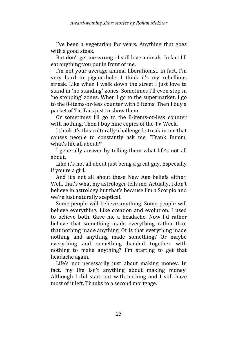I've been a vegetarian for years. Anything that goes with a good steak.

But don't get me wrong - I still love animals. In fact I'll eat anything you put in front of me.

I'm not your average animal liberationist. In fact, I'm very hard to pigeon-hole. I think it's my rebellious streak. Like when I walk down the street I just love to stand in 'no standing' zones. Sometimes I'll even stop in 'no stopping' zones. When I go to the supermarket, I go to the 8-items-or-less counter with 8 items. Then I buy a packet of Tic Tacs just to show them.

Or sometimes I'll go to the 8-items-or-less counter with nothing. Then I buy nine copies of the TV Week.

I think it's this culturally-challenged streak in me that causes people to constantly ask me, "Frank Bumm, what's life all about?"

I generally answer by telling them what life's not all about.

Like it's not all about just being a great guy. Especially if you're a girl.

And it's not all about these New Age beliefs either. Well, that's what my astrologer tells me. Actually, I don't believe in astrology but that's because I'm a Scorpio and we're just naturally sceptical.

Some people will believe anything. Some people will believe everything. Like creation and evolution. I used to believe both. Gave me a headache. Now I'd rather believe that something made everything rather than that nothing made anything. Or is that everything made nothing and anything made something? Or maybe everything and something banded together with nothing to make anything? I'm starting to get that headache again.

Life's not necessarily just about making money. In fact, my life isn't anything about making money. Although I did start out with nothing and I still have most of it left. Thanks to a second mortgage.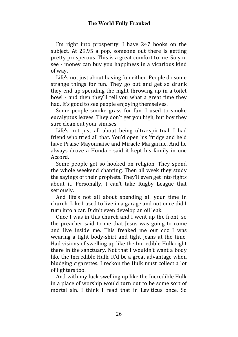I'm right into prosperity. I have 247 books on the subject. At 29.95 a pop, someone out there is getting pretty prosperous. This is a great comfort to me. So you see - money can buy you happiness in a vicarious kind of way.

Life's not just about having fun either. People do some strange things for fun. They go out and get so drunk they end up spending the night throwing up in a toilet bowl - and then they'll tell you what a great time they had. It's good to see people enjoying themselves.

Some people smoke grass for fun. I used to smoke eucalyptus leaves. They don't get you high, but boy they sure clean out your sinuses.

Life's not just all about being ultra-spiritual. I had friend who tried all that. You'd open his 'fridge and he'd have Praise Mayonnaise and Miracle Margarine. And he always drove a Honda - said it kept his family in one Accord.

Some people get so hooked on religion. They spend the whole weekend chanting. Then all week they study the sayings of their prophets. They'll even get into fights about it. Personally, I can't take Rugby League that seriously.

And life's not all about spending all your time in church. Like I used to live in a garage and not once did I turn into a car. Didn't even develop an oil leak.

Once I was in this church and I went up the front, so the preacher said to me that Jesus was going to come and live inside me. This freaked me out coz I was wearing a tight body-shirt and tight jeans at the time. Had visions of swelling up like the Incredible Hulk right there in the sanctuary. Not that I wouldn't want a body like the Incredible Hulk. It'd be a great advantage when bludging cigarettes. I reckon the Hulk must collect a lot of lighters too.

And with my luck swelling up like the Incredible Hulk in a place of worship would turn out to be some sort of mortal sin. I think I read that in Leviticus once. So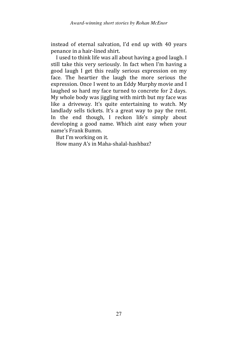instead of eternal salvation, I'd end up with 40 years penance in a hair-lined shirt.

I used to think life was all about having a good laugh. I still take this very seriously. In fact when I'm having a good laugh I get this really serious expression on my face. The heartier the laugh the more serious the expression. Once I went to an Eddy Murphy movie and I laughed so hard my face turned to concrete for 2 days. My whole body was jiggling with mirth but my face was like a driveway. It's quite entertaining to watch. My landlady sells tickets. It's a great way to pay the rent. In the end though, I reckon life's simply about developing a good name. Which aint easy when your name's Frank Bumm.

But I'm working on it.

How many A's in Maha-shalal-hashbaz?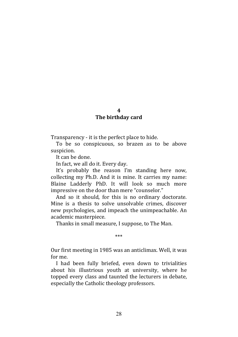### $\boldsymbol{\Lambda}$

## The birthday card

Transparency - it is the perfect place to hide.

To be so conspicuous, so brazen as to be above suspicion.

It can be done.

In fact, we all do it. Every day.

It's probably the reason I'm standing here now, collecting my Ph.D. And it is mine. It carries my name: Blaine Ladderly PhD. It will look so much more impressive on the door than mere "counselor."

And so it should, for this is no ordinary doctorate. Mine is a thesis to solve unsolvable crimes, discover new psychologies, and impeach the unimpeachable. An academic masterpiece.

Thanks in small measure, I suppose, to The Man.

#### \*\*\*

Our first meeting in 1985 was an anticlimax. Well, it was for me.

I had been fully briefed, even down to trivialities about his illustrious youth at university, where he topped every class and taunted the lecturers in debate, especially the Catholic theology professors.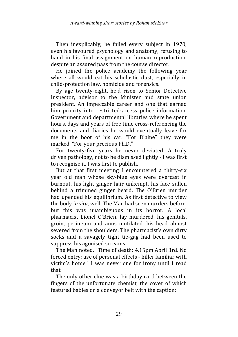Then inexplicably, he failed every subject in 1970, even his favoured psychology and anatomy, refusing to hand in his final assignment on human reproduction, despite an assured pass from the course director.

He joined the police academy the following year where all would eat his scholastic dust, especially in child-protection law, homicide and forensics.

By age twenty-eight, he'd risen to Senior Detective Inspector, advisor to the Minister and state union president. An impeccable career and one that earned him priority into restricted-access police information, Government and departmental libraries where he spent hours, days and years of free time cross-referencing the documents and diaries he would eventually leave for me in the boot of his car. "For Blaine" they were marked. "For your precious Ph.D."

For twenty-five years he never deviated. A truly driven pathology, not to be dismissed lightly - I was first to recognise it. I was first to publish.

But at that first meeting I encountered a thirty-six year old man whose sky-blue eyes were overcast in burnout, his light ginger hair unkempt, his face sullen behind a trimmed ginger beard. The O'Brien murder had upended his equilibrium. As first detective to view the body in situ, well, The Man had seen murders before, but this was unambiguous in its horror. A local pharmacist Lionel O'Brien, lay murdered, his genitals, groin, perineum and anus mutilated, his head almost severed from the shoulders. The pharmacist's own dirty socks and a savagely tight tie-gag had been used to suppress his agonised screams.

The Man noted, "Time of death: 4.15pm April 3rd. No forced entry; use of personal effects - killer familiar with victim's home." I was never one for irony until I read that.

The only other clue was a birthday card between the fingers of the unfortunate chemist, the cover of which featured babies on a conveyor belt with the caption: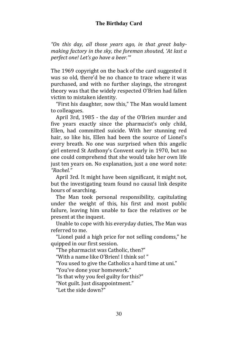## **The Birthday Card**

"On this day, all those years ago, in that great babymaking factory in the sky, the foreman shouted, 'At last a perfect one! Let's go have a beer.'"

The 1969 copyright on the back of the card suggested it was so old, there'd be no chance to trace where it was purchased, and with no further slayings, the strongest theory was that the widely respected O'Brien had fallen victim to mistaken identity.

"First his daughter, now this," The Man would lament to colleagues.

April 3rd, 1985 - the day of the O'Brien murder and five years exactly since the pharmacist's only child, Ellen, had committed suicide. With her stunning red hair, so like his, Ellen had been the source of Lionel's every breath. No one was surprised when this angelic girl entered St Anthony's Convent early in 1970, but no one could comprehend that she would take her own life just ten years on. No explanation, just a one word note: "Rachel."

April 3rd. It might have been significant, it might not, but the investigating team found no causal link despite hours of searching.

The Man took personal responsibility, capitulating under the weight of this, his first and most public failure, leaving him unable to face the relatives or be present at the inquest.

Unable to cope with his everyday duties, The Man was referred to me.

"Lionel paid a high price for not selling condoms," he quipped in our first session.

"The pharmacist was Catholic, then?"

"With a name like O'Brien! I think so! "

"You used to give the Catholics a hard time at uni."

"You've done your homework."

"Is that why you feel guilty for this?"

"Not guilt. Just disappointment."

"Let the side down?"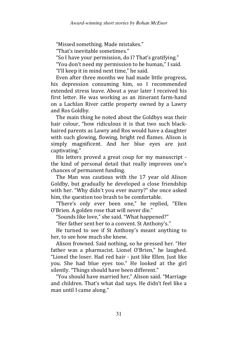"Missed something. Made mistakes."

"That's inevitable sometimes."

"So I have your permission, do I? That's gratifying."

"You don't need my permission to be human," I said.

"I'll keep it in mind next time," he said.

Even after three months we had made little progress, his depression consuming him, so I recommended extended stress leave. About a year later I received his first letter. He was working as an itinerant farm-hand on a Lachlan River cattle property owned by a Lawry and Ros Goldby.

The main thing he noted about the Goldbys was their hair colour, "how ridiculous it is that two such blackhaired parents as Lawry and Ros would have a daughter with such glowing, flowing, bright red flames. Alison is simply magnificent. And her blue eyes are just captivating."

His letters proved a great coup for my manuscript the kind of personal detail that really improves one's chances of permanent funding.

The Man was cautious with the 17 year old Alison Goldby, but gradually he developed a close friendship with her. "Why didn't you ever marry?" she once asked him, the question too brash to be comfortable.

"There's only ever been one," he replied, "Ellen O'Brien. A golden rose that will never die."

"Sounds like love," she said. "What happened?"

"Her father sent her to a convent. St Anthony's."

He turned to see if St Anthony's meant anything to her, to see how much she knew.

Alison frowned. Said nothing, so he pressed her. "Her father was a pharmacist. Lionel O'Brien," he laughed. "Lionel the loser. Had red hair - just like Ellen. Just like you. She had blue eyes too." He looked at the girl silently. "Things should have been different."

"You should have married her," Alison said. "Marriage and children. That's what dad says. He didn't feel like a man until I came along."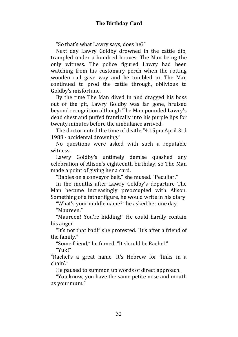"So that's what Lawry says, does he?"

Next day Lawry Goldby drowned in the cattle dip, trampled under a hundred hooves, The Man being the only witness. The police figured Lawry had been watching from his customary perch when the rotting wooden rail gave way and he tumbled in. The Man continued to prod the cattle through, oblivious to Goldby's misfortune.

By the time The Man dived in and dragged his boss out of the pit, Lawry Goldby was far gone, bruised beyond recognition although The Man pounded Lawry's dead chest and puffed frantically into his purple lips for twenty minutes before the ambulance arrived.

The doctor noted the time of death: "4.15pm April 3rd 1988 - accidental drowning."

No questions were asked with such a reputable witness.

Lawry Goldby's untimely demise quashed any celebration of Alison's eighteenth birthday, so The Man made a point of giving her a card.

"Babies on a conveyor belt," she mused. "Peculiar."

In the months after Lawry Goldby's departure The Man became increasingly preoccupied with Alison. Something of a father figure, he would write in his diary.

"What's your middle name?" he asked her one day.

"Maureen."

"Maureen! You're kidding!" He could hardly contain his anger.

"It's not that bad!" she protested. "It's after a friend of the family."

"Some friend," he fumed. "It should be Rachel."

"Yuk!"

"Rachel's a great name. It's Hebrew for 'links in a chain'."

He paused to summon up words of direct approach.

"You know, you have the same petite nose and mouth as your mum."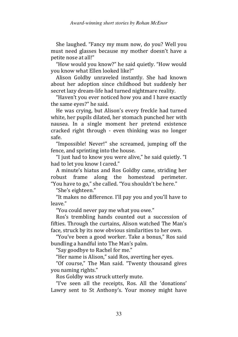She laughed. "Fancy my mum now, do you? Well you must need glasses because my mother doesn't have a petite nose at all!"

"How would you know?" he said quietly. "How would you know what Ellen looked like?"

Alison Goldby unraveled instantly. She had known about her adoption since childhood but suddenly her secret lazy dream-life had turned nightmare reality.

"Haven't you ever noticed how you and I have exactly the same eyes?" he said.

He was crying, but Alison's every freckle had turned white, her pupils dilated, her stomach punched her with nausea. In a single moment her pretend existence cracked right through - even thinking was no longer safe.

"Impossible! Never!" she screamed, jumping off the fence, and sprinting into the house.

"I just had to know you were alive," he said quietly. "I had to let you know I cared."

A minute's hiatus and Ros Goldby came, striding her robust frame along the homestead perimeter. "You have to go," she called. "You shouldn't be here."

"She's eighteen."

"It makes no difference. I'll pay you and you'll have to leave."

"You could never pay me what you owe."

Ros's trembling hands counted out a succession of fifties. Through the curtains, Alison watched The Man's face, struck by its now obvious similarities to her own.

"You've been a good worker. Take a bonus," Ros said bundling a handful into The Man's palm.

"Say goodbye to Rachel for me."

"Her name is Alison," said Ros, averting her eyes.

"Of course," The Man said. "Twenty thousand gives you naming rights."

Ros Goldby was struck utterly mute.

"I've seen all the receipts, Ros. All the 'donations' Lawry sent to St Anthony's. Your money might have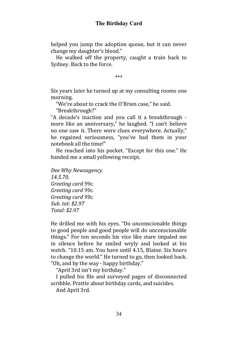helped you jump the adoption queue, but it can never change my daughter's blood."

He walked off the property, caught a train back to Sydney. Back to the force.

\*\*\*

Six years later he turned up at my consulting rooms one morning.

"We're about to crack the O'Brien case," he said.

"Breakthrough?"

"A decade's inaction and you call it a breakthrough more like an anniversary," he laughed. "I can't believe no one saw it. There were clues everywhere. Actually," he regained seriousness, "you've had them in your notebook all the time!"

He reached into his pocket. "Except for this one." He handed me a small yellowing receipt.

Dee Why Newsagency. 14.5.70. Greeting card 99c. Greeting card 99c. Greeting card 99c. Sub. tot: \$2.97 Total: \$2.97

He drilled me with his eyes. "Do unconscionable things to good people and good people will do unconscionable things." For ten seconds his vice like stare impaled me in silence before he smiled wryly and looked at his watch. "10.15 am. You have until 4.15, Blaine. Six hours to change the world." He turned to go, then looked back. "Oh, and by the way - happy birthday."

"April 3rd isn't my birthday."

I pulled his file and surveyed pages of disconnected scribble. Prattle about birthday cards, and suicides.

And April 3rd.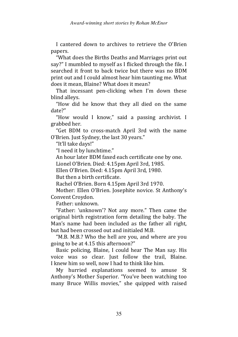I cantered down to archives to retrieve the O'Brien papers.

"What does the Births Deaths and Marriages print out say?" I mumbled to myself as I flicked through the file. I searched it front to back twice but there was no BDM print out and I could almost hear him taunting me. What does it mean, Blaine? What does it mean?

That incessant pen-clicking when I'm down these blind alleys.

"How did he know that they all died on the same date?"

"How would I know," said a passing archivist. I grabbed her.

"Get BDM to cross-match April 3rd with the name O'Brien. Just Sydney, the last 30 years."

"It'll take days!"

"I need it by lunchtime."

An hour later BDM faxed each certificate one by one.

Lionel O'Brien. Died: 4.15pm April 3rd, 1985.

Ellen O'Brien. Died: 4.15pm April 3rd, 1980.

But then a birth certificate.

Rachel O'Brien. Born 4.15pm April 3rd 1970.

Mother: Ellen O'Brien. Josephite novice. St Anthony's Convent Croydon.

Father: unknown.

"Father: 'unknown'? Not any more." Then came the original birth registration form detailing the baby. The Man's name had been included as the father all right, but had been crossed out and initialed M.B.

"M.B. M.B.? Who the hell are you, and where are you going to be at 4.15 this afternoon?"

Basic policing, Blaine, I could hear The Man say. His voice was so clear. Just follow the trail, Blaine. I knew him so well, now I had to think like him.

My hurried explanations seemed to amuse St Anthony's Mother Superior. "You've been watching too many Bruce Willis movies," she quipped with raised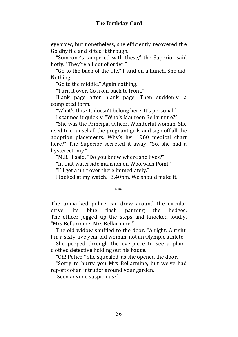eyebrow, but nonetheless, she efficiently recovered the Goldby file and sifted it through.

"Someone's tampered with these," the Superior said hotly. "They're all out of order."

"Go to the back of the file," I said on a hunch. She did. Nothing.

"Go to the middle." Again nothing.

"Turn it over. Go from back to front."

Blank page after blank page. Then suddenly, a completed form.

"What's this? It doesn't belong here. It's personal."

I scanned it quickly. "Who's Maureen Bellarmine?"

"She was the Principal Officer. Wonderful woman. She used to counsel all the pregnant girls and sign off all the adoption placements. Why's her 1960 medical chart here?" The Superior secreted it away. "So, she had a hysterectomy."

"M.B." I said. "Do you know where she lives?"

"In that waterside mansion on Woolwich Point."

"I'll get a unit over there immediately."

I looked at my watch. "3.40pm. We should make it."

\*\*\*

The unmarked police car drew around the circular drive, its blue flash panning the hedges. The officer jogged up the steps and knocked loudly. "Mrs Bellarmine! Mrs Bellarmine!"

The old widow shuffled to the door. "Alright. Alright. I'm a sixty-five year old woman, not an Olympic athlete."

She peeped through the eye-piece to see a plainclothed detective holding out his badge.

"Oh! Police!" she squealed, as she opened the door.

"Sorry to hurry you Mrs Bellarmine, but we've had reports of an intruder around your garden.

Seen anyone suspicious?"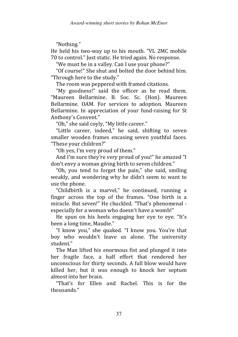"Nothing."

He held his two-way up to his mouth. "VL 2MC mobile 70 to control." Just static. He tried again. No response.

"We must be in a valley. Can I use your phone?"

"Of course!" She shut and bolted the door behind him. "Through here to the study."

The room was peppered with framed citations.

"My goodness!" said the officer as he read them. "Maureen Bellarmine. B. Soc. Sc. (Hon). Maureen Bellarmine. OAM. For services to adoption. Maureen Bellarmine. In appreciation of your fund-raising for St Anthony's Convent."

"Oh," she said coyly, "My little career."

"Little career, indeed," he said, shifting to seven smaller wooden frames encasing seven youthful faces. "These your children?"

"Oh yes, I'm very proud of them."

And I'm sure they're very proud of you!" he amazed "I don't envy a woman giving birth to seven children."

"Oh, you tend to forget the pain," she said, smiling weakly, and wondering why he didn't seem to want to use the phone.

"Childbirth is a marvel," he continued, running a finger across the top of the frames. "One birth is a miracle. But seven!" He chuckled. "That's phenomenal especially for a woman who doesn't have a womb!"

He spun on his heels engaging her eye to eye. "It's been a long time, Maudie."

"I know you," she quaked. "I know you. You're that boy who wouldn't leave us alone. The university student."

The Man lifted his enormous fist and plunged it into her fragile face, a half effort that rendered her unconscious for thirty seconds. A full blow would have killed her, but it was enough to knock her septum almost into her brain.

"That's for Ellen and Rachel. This is for the thousands."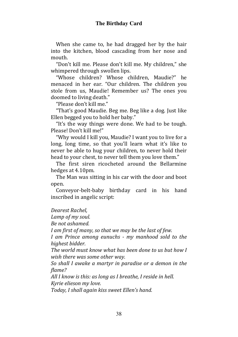When she came to, he had dragged her by the hair into the kitchen, blood cascading from her nose and mouth.

"Don't kill me. Please don't kill me. My children," she whimpered through swollen lips.

"Whose children? Whose children, Maudie?" he menaced in her ear. "Our children. The children you stole from us, Maudie! Remember us? The ones you doomed to living death."

"Please don't kill me."

"That's good Maudie. Beg me. Beg like a dog. Just like Ellen begged you to hold her baby."

"It's the way things were done. We had to be tough. Please! Don't kill me!"

"Why would I kill you, Maudie? I want you to live for a long, long time, so that you'll learn what it's like to never be able to hug your children, to never hold their head to your chest, to never tell them you love them."

The first siren ricocheted around the Bellarmine hedges at 4.10pm.

The Man was sitting in his car with the door and boot open.

Conveyor-belt-baby birthday card in his hand inscribed in angelic script:

Dearest Rachel,

Lamp of my soul.

Be not ashamed.

I am first of many, so that we may be the last of few.

I am Prince among eunuchs - my manhood sold to the highest bidder.

The world must know what has been done to us but how I wish there was some other way.

So shall I awake a martyr in paradise or a demon in the flame?

All I know is this: as long as I breathe, I reside in hell. Kyrie elieson my love.

Today, I shall again kiss sweet Ellen's hand.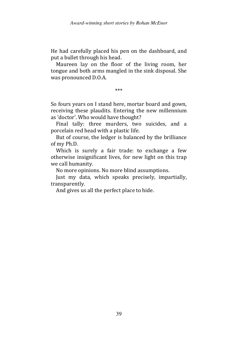He had carefully placed his pen on the dashboard, and put a bullet through his head.

Maureen lay on the floor of the living room, her tongue and both arms mangled in the sink disposal. She was pronounced D.O.A.

\*\*\*

So fours years on I stand here, mortar board and gown, receiving these plaudits. Entering the new millennium as 'doctor'. Who would have thought?

Final tally: three murders, two suicides, and a porcelain red head with a plastic life.

But of course, the ledger is balanced by the brilliance of my Ph.D.

Which is surely a fair trade: to exchange a few otherwise insignificant lives, for new light on this trap we call humanity.

No more opinions. No more blind assumptions.

Just my data, which speaks precisely, impartially, transparently.

And gives us all the perfect place to hide.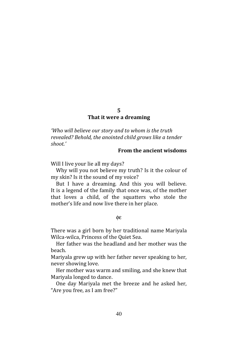### 5 That it were a dreaming

'Who will believe our story and to whom is the truth revealed? Behold, the anointed child grows like a tender shoot.'

# From the ancient wisdoms

Will I live your lie all my days?

Why will you not believe my truth? Is it the colour of my skin? Is it the sound of my voice?

But I have a dreaming. And this you will believe. It is a legend of the family that once was, of the mother that loves a child, of the squatters who stole the mother's life and now live there in her place.

#### φε

There was a girl born by her traditional name Mariyala Wilca-wilca, Princess of the Quiet Sea.

Her father was the headland and her mother was the beach.

Mariyala grew up with her father never speaking to her, never showing love.

Her mother was warm and smiling, and she knew that Mariyala longed to dance.

One day Mariyala met the breeze and he asked her, "Are you free, as I am free?"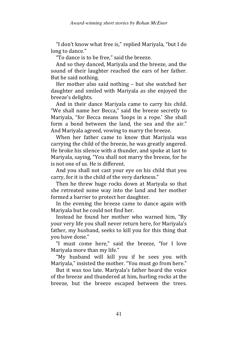"I don't know what free is," replied Mariyala, "but I do long to dance."

"To dance is to be free," said the breeze.

And so they danced, Mariyala and the breeze, and the sound of their laughter reached the ears of her father. But he said nothing.

Her mother also said nothing – but she watched her daughter and smiled with Mariyala as she enjoyed the breeze's delights.

And in their dance Mariyala came to carry his child. "We shall name her Becca," said the breeze secretly to Mariyala, "for Becca means 'loops in a rope.' She shall form a bond between the land, the sea and the air." And Mariyala agreed, vowing to marry the breeze.

When her father came to know that Mariyala was carrying the child of the breeze, he was greatly angered. He broke his silence with a thunder, and spoke at last to Mariyala, saying, "You shall not marry the breeze, for he is not one of us. He is different.

And you shall not cast your eye on his child that you carry, for it is the child of the very darkness."

Then he threw huge rocks down at Mariyala so that she retreated some way into the land and her mother formed a barrier to protect her daughter.

In the evening the breeze came to dance again with Mariyala but he could not find her.

Instead he found her mother who warned him, "By your very life you shall never return here, for Mariyala's father, my husband, seeks to kill you for this thing that you have done."

"I must come here," said the breeze, "for I love Mariyala more than my life."

"My husband will kill you if he sees you with Mariyala," insisted the mother. "You must go from here."

But it was too late. Mariyala's father heard the voice of the breeze and thundered at him, hurling rocks at the breeze, but the breeze escaped between the trees.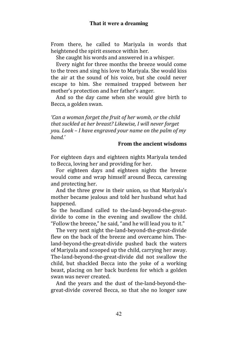From there, he called to Mariyala in words that heightened the spirit essence within her.

She caught his words and answered in a whisper.

Every night for three months the breeze would come to the trees and sing his love to Mariyala. She would kiss the air at the sound of his voice, but she could never escape to him. She remained trapped between her mother's protection and her father's anger.

And so the day came when she would give birth to Becca, a golden swan.

'Can a woman forget the fruit of her womb, or the child that suckled at her breast? Likewise, I will never forget you. Look – I have engraved your name on the palm of my hand'

# From the ancient wisdoms

For eighteen days and eighteen nights Mariyala tended to Becca, loving her and providing for her.

For eighteen days and eighteen nights the breeze would come and wrap himself around Becca, caressing and protecting her.

And the three grew in their union, so that Mariyala's mother became jealous and told her husband what had happened.

So the headland called to the-land-beyond-the-greatdivide to come in the evening and swallow the child. "Follow the breeze," he said, "and he will lead you to it."

The very next night the-land-beyond-the-great-divide flew on the back of the breeze and overcame him. Theland-beyond-the-great-divide pushed back the waters of Mariyala and scooped up the child, carrying her away. The-land-beyond-the-great-divide did not swallow the child, but shackled Becca into the yoke of a working beast, placing on her back burdens for which a golden swan was never created.

And the years and the dust of the-land-beyond-thegreat-divide covered Becca, so that she no longer saw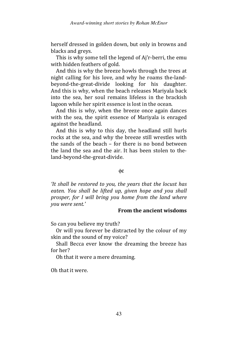herself dressed in golden down, but only in browns and blacks and greys.

This is why some tell the legend of Aj'r-berri, the emu with hidden feathers of gold.

And this is why the breeze howls through the trees at night calling for his love, and why he roams the-landbeyond-the-great-divide looking for his daughter. And this is why, when the beach releases Mariyala back into the sea, her soul remains lifeless in the brackish lagoon while her spirit essence is lost in the ocean.

And this is why, when the breeze once again dances with the sea, the spirit essence of Mariyala is enraged against the headland.

And this is why to this day, the headland still hurls rocks at the sea, and why the breeze still wrestles with the sands of the beach – for there is no bond between the land the sea and the air. It has been stolen to theland-beyond-the-great-divide.

#### φε

'It shall be restored to you, the years that the locust has eaten. You shall be lifted up, given hope and you shall prosper, for I will bring you home from the land where you were sent.'

# From the ancient wisdoms

So can you believe my truth?

Or will you forever be distracted by the colour of my skin and the sound of my voice?

Shall Becca ever know the dreaming the breeze has for her?

Oh that it were a mere dreaming.

Oh that it were.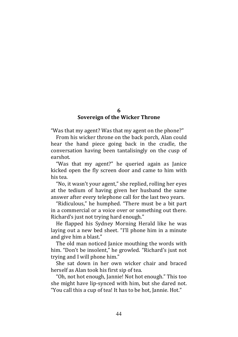### 6 Sovereign of the Wicker Throne

"Was that my agent? Was that my agent on the phone?"

From his wicker throne on the back porch, Alan could hear the hand piece going back in the cradle, the conversation having been tantalisingly on the cusp of earshot.

"Was that my agent?" he queried again as Janice kicked open the fly screen door and came to him with his tea.

"No, it wasn't your agent," she replied, rolling her eyes at the tedium of having given her husband the same answer after every telephone call for the last two years.

"Ridiculous," he humphed. "There must be a bit part in a commercial or a voice over or something out there. Richard's just not trying hard enough."

He flapped his Sydney Morning Herald like he was laying out a new bed sheet. "I'll phone him in a minute and give him a blast."

The old man noticed Janice mouthing the words with him. "Don't be insolent," he growled. "Richard's just not trying and I will phone him."

She sat down in her own wicker chair and braced herself as Alan took his first sip of tea.

"Oh, not hot enough, Jannie! Not hot enough." This too she might have lip-synced with him, but she dared not. "You call this a cup of tea! It has to be hot, Jannie. Hot."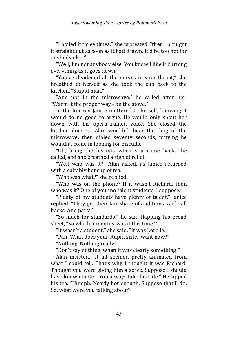"I boiled it three times," she protested, "then I brought it straight out as soon as it had drawn. It'd be too hot for anybody else!"

"Well, I'm not anybody else. You know I like it burning everything as it goes down."

"You've deadened all the nerves in your throat," she breathed to herself as she took the cup back to the kitchen. "Stupid man."

"And not in the microwave," he called after her. "Warm it the proper way - on the stove."

In the kitchen Janice muttered to herself, knowing it would do no good to argue. He would only shout her down with his opera-trained voice. She closed the kitchen door so Alan wouldn't hear the ding of the microwave, then dialed seventy seconds, praying he wouldn't come in looking for biscuits.

"Oh, bring the biscuits when you come back," he called, and she breathed a sigh of relief.

"Well who was it?" Alan asked, as Janice returned with a suitably hot cup of tea.

"Who was what?" she replied.

"Who was on the phone? If it wasn't Richard, then who was it? One of your no talent students, I suppose."

"Plenty of my students have plenty of talent," Janice replied. "They get their fair share of auditions. And call backs. And parts."

"So much for standards," he said flapping his broad sheet, "So which nonentity was it this time?"

"It wasn't a student," she said. "It was Lorelle."

"Pah! What does your stupid sister want now?"

"Nothing. Nothing really."

"Don't say nothing, when it was clearly something!"

Alan insisted. "It all seemed pretty animated from what I could tell. That's why I thought it was Richard. Thought you were giving him a serve. Suppose I should have known better. You always take his side." He sipped his tea. "Humph. Nearly hot enough. Suppose that'll do. So, what were you talking about?"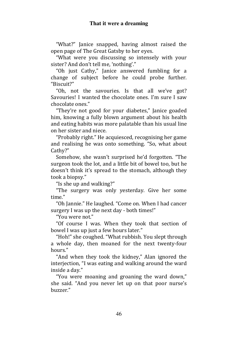"What?" Janice snapped, having almost raised the open page of The Great Gatsby to her eyes.

"What were you discussing so intensely with your sister? And don't tell me, 'nothing'."

"Oh just Cathy," Janice answered fumbling for a change of subject before he could probe further. "Biscuit?"

"Oh, not the savouries. Is that all we've got? Savouries! I wanted the chocolate ones. I'm sure I saw chocolate ones."

"They're not good for your diabetes," Janice goaded him, knowing a fully blown argument about his health and eating habits was more palatable than his usual line on her sister and niece.

"Probably right." He acquiesced, recognising her game and realising he was onto something. "So, what about Cathy?"

Somehow, she wasn't surprised he'd forgotten. "The surgeon took the lot, and a little bit of bowel too, but he doesn't think it's spread to the stomach, although they took a biopsy."

"Is she up and walking?"

"The surgery was only yesterday. Give her some time."

"Oh Jannie." He laughed. "Come on. When I had cancer surgery I was up the next day - both times!"

"You were not"

"Of course I was. When they took that section of bowel I was up just a few hours later."

"Hoh!" she coughed. "What rubbish. You slept through a whole day, then moaned for the next twenty-four hours."

"And when they took the kidney," Alan ignored the interjection, "I was eating and walking around the ward inside a day."

"You were moaning and groaning the ward down," she said. "And you never let up on that poor nurse's buzzer."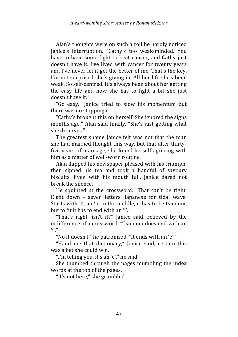Alan's thoughts were on such a roll he hardly noticed Janice's interruption. "Cathy's too weak-minded. You have to have some fight to beat cancer, and Cathy just doesn't have it. I've lived with cancer for twenty years and I've never let it get the better of me. That's the key. I'm not surprised she's giving in. All her life she's been weak. So self-centred. It's always been about her getting the easy life and now she has to fight a bit she just doesn't have it."

"Go easy." Janice tried to slow his momentum but there was no stopping it.

"Cathy's brought this on herself. She ignored the signs months ago," Alan said finally. "She's just getting what she deserves."

The greatest shame Janice felt was not that the man she had married thought this way, but that after thirtyfive years of marriage, she found herself agreeing with him as a matter of well-worn routine.

Alan flapped his newspaper pleased with his triumph, then sipped his tea and took a handful of savoury biscuits. Even with his mouth full, Janice dared not break the silence.

He squinted at the crossword. "That can't be right. Eight down - seven letters. Japanese for tidal wave. Starts with 't', an 'n' in the middle, it has to be tsunami, but to fit it has to end with an 'i'."

"That's right, isn't it?" Janice said, relieved by the indifference of a crossword. "Tsunami does end with an 'i'."

"No it doesn't," he patronised. "It ends with an 'e'."

"Hand me that dictionary," Janice said, certain this was a bet she could win.

"I'm telling you, it's an 'e'," he said.

She thumbed through the pages mumbling the index words at the top of the pages.

"It's not here," she grumbled.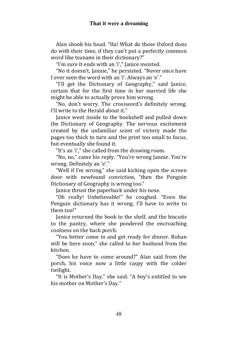### **That it were a dreaming**

Alan shook his head. "Ha! What do those Oxford dons do with their time, if they can't put a perfectly common word like tsunami in their dictionary?"

"I'm sure it ends with an 'i'," Janice insisted.

"No it doesn't, Jannie," he persisted. "Never once have I ever seen the word with an 'i'. Always an 'e'."

"I'll get the Dictionary of Geography," said Janice, certain that for the first time in her married life she might be able to actually prove him wrong.

"No, don't worry. The crossword's definitely wrong. I'll write to the Herald about it."

Janice went inside to the bookshelf and pulled down the Dictionary of Geography. The nervous excitement created by the unfamiliar scent of victory made the pages too thick to turn and the print too small to focus, but eventually she found it.

"It's an 'i'," she called from the drawing room.

"No, no," came his reply. "You're wrong Jannie. You're wrong. Definitely an 'e'."

"Well if I'm wrong," she said kicking open the screen door with newfound conviction, "then the Penguin Dictionary of Geography is wrong too."

Janice thrust the paperback under his nose.

"Oh really! Unbelievable!" he coughed. "Even the Penguin dictionary has it wrong. I'll have to write to them too!"

Janice returned the book to the shelf, and the biscuits to the pantry, where she pondered the encroaching coolness on the back porch.

"You better come in and get ready for dinner. Rohan will be here soon," she called to her husband from the kitchen.

"Does he have to come around?" Alan said from the porch, his voice now a little raspy with the colder twilight.

"It is Mother's Day," she said. "A boy's entitled to see his mother on Mother's Day."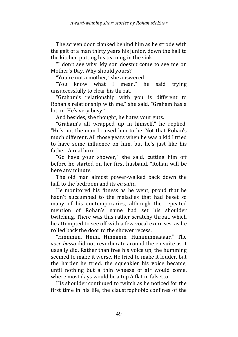The screen door clanked behind him as he strode with the gait of a man thirty years his junior, down the hall to the kitchen putting his tea mug in the sink.

"I don't see why. My son doesn't come to see me on Mother's Day. Why should yours?"

"You're not a mother," she answered.

"You know what I mean," he said trying unsuccessfully to clear his throat.

"Graham's relationship with you is different to Rohan's relationship with me," she said. "Graham has a lot on. He's very busy."

And besides, she thought, he hates your guts.

"Graham's all wrapped up in himself," he replied. "He's not the man I raised him to be. Not that Rohan's much different. All those years when he was a kid I tried to have some influence on him, but he's just like his father. A real bore."

"Go have your shower," she said, cutting him off before he started on her first husband. "Rohan will be here any minute."

The old man almost power-walked back down the hall to the bedroom and its en suite.

He monitored his fitness as he went, proud that he hadn't succumbed to the maladies that had beset so many of his contemporaries, although the repeated mention of Rohan's name had set his shoulder twitching. There was this rather scratchy throat, which he attempted to see off with a few vocal exercises, as he rolled back the door to the shower recess.

"Hmmmm. Hmm. Hmmmm. Hummmmaaaar." The voce basso did not reverberate around the en suite as it usually did. Rather than free his voice up, the humming seemed to make it worse. He tried to make it louder, but the harder he tried, the squeakier his voice became, until nothing but a thin wheeze of air would come, where most days would be a top A flat in falsetto.

His shoulder continued to twitch as he noticed for the first time in his life, the claustrophobic confines of the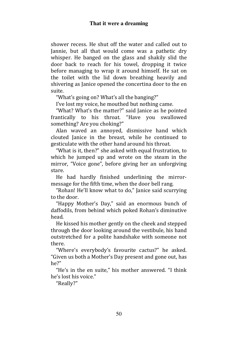shower recess. He shut off the water and called out to Jannie, but all that would come was a pathetic dry whisper. He banged on the glass and shakily slid the door back to reach for his towel, dropping it twice before managing to wrap it around himself. He sat on the toilet with the lid down breathing heavily and shivering as Janice opened the concertina door to the en suite.

"What's going on? What's all the banging?"

I've lost my voice, he mouthed but nothing came.

"What? What's the matter?" said Janice as he pointed frantically to his throat. "Have you swallowed something? Are you choking?"

Alan waved an annoyed, dismissive hand which clouted Janice in the breast, while he continued to gesticulate with the other hand around his throat.

"What is it, then?" she asked with equal frustration, to which he jumped up and wrote on the steam in the mirror, "Voice gone", before giving her an unforgiving stare.

He had hardly finished underlining the mirrormessage for the fifth time, when the door bell rang.

"Rohan! He'll know what to do," Janice said scurrying to the door.

"Happy Mother's Day," said an enormous bunch of daffodils, from behind which poked Rohan's diminutive head.

He kissed his mother gently on the cheek and stepped through the door looking around the vestibule, his hand outstretched for a polite handshake with someone not there.

"Where's everybody's favourite cactus?" he asked. "Given us both a Mother's Day present and gone out, has he?"

"He's in the en suite," his mother answered. "I think he's lost his voice."

"Really?"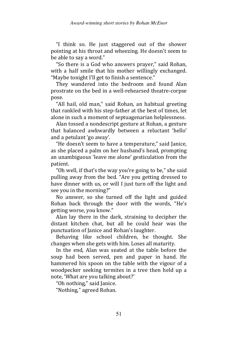"I think so. He just staggered out of the shower pointing at his throat and wheezing. He doesn't seem to be able to say a word."

"So there is a God who answers prayer," said Rohan, with a half smile that his mother willingly exchanged. "Maybe tonight I'll get to finish a sentence."

They wandered into the bedroom and found Alan prostrate on the bed in a well-rehearsed theatre-corpse pose.

"All hail, old man," said Rohan, an habitual greeting that rankled with his step-father at the best of times, let alone in such a moment of septuagenarian helplessness.

Alan tossed a nondescript gesture at Rohan, a gesture that balanced awkwardly between a reluctant 'hello' and a petulant 'go away'.

"He doesn't seem to have a temperature," said Janice, as she placed a palm on her husband's head, prompting an unambiguous 'leave me alone' gesticulation from the patient.

"Oh well, if that's the way you're going to be," she said pulling away from the bed. "Are you getting dressed to have dinner with us, or will I just turn off the light and see you in the morning?"

No answer, so she turned off the light and guided Rohan back through the door with the words, "He's getting worse, you know."

Alan lay there in the dark, straining to decipher the distant kitchen chat, but all he could hear was the punctuation of Janice and Rohan's laughter.

Behaving like school children, he thought. She changes when she gets with him. Loses all maturity.

In the end, Alan was seated at the table before the soup had been served, pen and paper in hand. He hammered his spoon on the table with the vigour of a woodpecker seeking termites in a tree then held up a note, 'What are you talking about?'

"Oh nothing," said Janice.

"Nothing," agreed Rohan.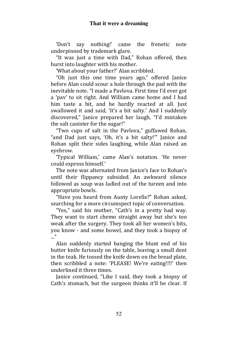'Don't say nothing!' came the frenetic note underpinned by trademark glare.

"It was just a time with Dad," Rohan offered, then burst into laughter with his mother.

'What about your father?' Alan scribbled.

"Oh just this one time years ago," offered Janice before Alan could scour a hole through the pad with the inevitable note. "I made a Pavlova. First time I'd ever got a 'pav' to sit right. And William came home and I had him taste a bit, and he hardly reacted at all. Just swallowed it and said, 'It's a bit salty.' And I suddenly discovered," Janice prepared her laugh, "I'd mistaken the salt canister for the sugar!"

"Two cups of salt in the Pavlova," guffawed Rohan, "and Dad just says, 'Oh, it's a bit salty!'" Janice and Rohan split their sides laughing, while Alan raised an eyebrow.

'Typical William,' came Alan's notation. 'He never could express himself.'

The note was alternated from Janice's face to Rohan's until their flippancy subsided. An awkward silence followed as soup was ladled out of the tureen and into appropriate bowls.

"Have you heard from Aunty Lorelle?" Rohan asked, searching for a more circumspect topic of conversation.

"Yes," said his mother, "Cath's in a pretty bad way. They want to start chemo straight away but she's too weak after the surgery. They took all her women's bits, you know - and some bowel, and they took a biopsy of  $\mathbf{r}$ 

Alan suddenly started banging the blunt end of his butter knife furiously on the table, leaving a small dent in the teak. He tossed the knife down on the bread plate, then scribbled a note: 'PLEASE! We're eating!!!!' then underlined it three times.

Janice continued, "Like I said, they took a biopsy of Cath's stomach, but the surgeon thinks it'll be clear. If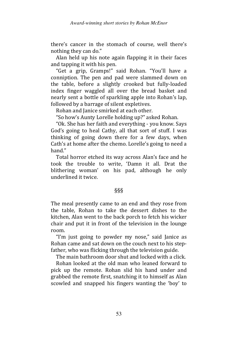there's cancer in the stomach of course, well there's nothing they can do."

Alan held up his note again flapping it in their faces and tapping it with his pen.

"Get a grip, Gramps!" said Rohan. "You'll have a conniption. The pen and pad were slammed down on the table, before a slightly crooked but fully-loaded index finger waggled all over the bread basket and nearly sent a bottle of sparkling apple into Rohan's lap, followed by a barrage of silent expletives.

Rohan and Janice smirked at each other.

"So how's Aunty Lorelle holding up?" asked Rohan.

"Ok. She has her faith and everything - you know. Says God's going to heal Cathy, all that sort of stuff. I was thinking of going down there for a few days, when Cath's at home after the chemo. Lorelle's going to need a hand"

Total horror etched its way across Alan's face and he took the trouble to write, 'Damn it all. Drat the blithering woman' on his pad, although he only underlined it twice.

# §§§

The meal presently came to an end and they rose from the table, Rohan to take the dessert dishes to the kitchen, Alan went to the back porch to fetch his wicker chair and put it in front of the television in the lounge room.

"I'm just going to powder my nose," said Janice as Rohan came and sat down on the couch next to his stepfather, who was flicking through the television guide.

The main bathroom door shut and locked with a click.

Rohan looked at the old man who leaned forward to pick up the remote. Rohan slid his hand under and grabbed the remote first, snatching it to himself as Alan scowled and snapped his fingers wanting the 'boy' to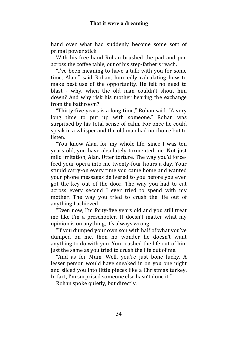hand over what had suddenly become some sort of primal power stick.

With his free hand Rohan brushed the pad and pen across the coffee table, out of his step-father's reach.

"I've been meaning to have a talk with you for some time, Alan," said Rohan, hurriedly calculating how to make best use of the opportunity. He felt no need to blast - why, when the old man couldn't shout him down? And why risk his mother hearing the exchange from the bathroom?

"Thirty-five years is a long time," Rohan said. "A very long time to put up with someone." Rohan was surprised by his total sense of calm. For once he could speak in a whisper and the old man had no choice but to listen.

"You know Alan, for my whole life, since I was ten years old, you have absolutely tormented me. Not just mild irritation, Alan. Utter torture. The way you'd forcefeed your opera into me twenty-four hours a day. Your stupid carry-on every time you came home and wanted your phone messages delivered to you before you even got the key out of the door. The way you had to cut across every second I ever tried to spend with my mother. The way you tried to crush the life out of anything I achieved.

"Even now, I'm forty-five years old and you still treat me like I'm a preschooler. It doesn't matter what my opinion is on anything, it's always wrong.

"If you dumped your own son with half of what you've dumped on me, then no wonder he doesn't want anything to do with you. You crushed the life out of him just the same as you tried to crush the life out of me.

"And as for Mum. Well, you're just bone lucky. A lesser person would have sneaked in on you one night and sliced you into little pieces like a Christmas turkey. In fact, I'm surprised someone else hasn't done it."

Rohan spoke quietly, but directly.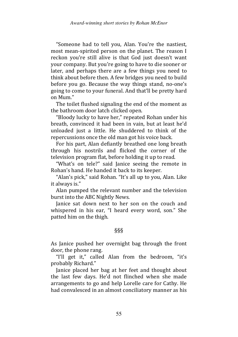"Someone had to tell you, Alan. You're the nastiest, most mean-spirited person on the planet. The reason I reckon you're still alive is that God just doesn't want your company. But you're going to have to die sooner or later, and perhaps there are a few things you need to think about before then. A few bridges you need to build before you go. Because the way things stand, no-one's going to come to your funeral. And that'll be pretty hard on Mum."

The toilet flushed signaling the end of the moment as the bathroom door latch clicked open.

"Bloody lucky to have her," repeated Rohan under his breath, convinced it had been in vain, but at least he'd unloaded just a little. He shuddered to think of the repercussions once the old man got his voice back.

For his part, Alan defiantly breathed one long breath through his nostrils and flicked the corner of the television program flat, before holding it up to read.

"What's on tele?" said Janice seeing the remote in Rohan's hand. He handed it back to its keeper.

"Alan's pick," said Rohan. "It's all up to you, Alan. Like it always is."

Alan pumped the relevant number and the television burst into the ABC Nightly News.

Janice sat down next to her son on the couch and whispered in his ear, "I heard every word, son." She patted him on the thigh.

### §§§

As Janice pushed her overnight bag through the front door, the phone rang.

"I'll get it," called Alan from the bedroom, "it's probably Richard."

Janice placed her bag at her feet and thought about the last few days. He'd not flinched when she made arrangements to go and help Lorelle care for Cathy. He had convalesced in an almost conciliatory manner as his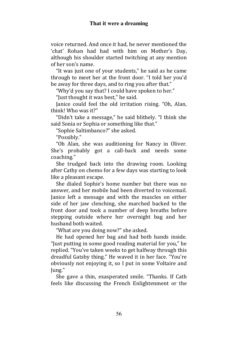voice returned. And once it had, he never mentioned the 'chat' Rohan had had with him on Mother's Day, although his shoulder started twitching at any mention of her son's name.

"It was just one of your students," he said as he came through to meet her at the front door. "I told her you'd be away for three days, and to ring you after that."

"Why'd you say that? I could have spoken to her."

"Just thought it was best," he said.

Janice could feel the old irritation rising. "Oh, Alan, think! Who was it?"

"Didn't take a message," he said blithely. "I think she said Sonia or Sophia or something like that."

"Sophie Saltimbanco?" she asked.

"Possibly."

"Oh Alan, she was auditioning for Nancy in Oliver. She's probably got a call-back and needs some coaching."

She trudged back into the drawing room. Looking after Cathy on chemo for a few days was starting to look like a pleasant escape.

She dialed Sophie's home number but there was no answer, and her mobile had been diverted to voicemail. Janice left a message and with the muscles on either side of her jaw clenching, she marched backed to the front door and took a number of deep breaths before stepping outside where her overnight bag and her husband both waited.

"What are you doing now?" she asked.

He had opened her bag and had both hands inside. "Just putting in some good reading material for you," he replied. "You've taken weeks to get halfway through this dreadful Gatsby thing." He waved it in her face. "You're obviously not enjoying it, so I put in some Voltaire and Jung."

She gave a thin, exasperated smile. "Thanks. If Cath feels like discussing the French Enlightenment or the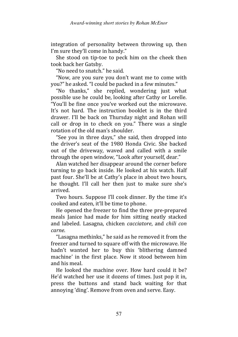integration of personality between throwing up, then I'm sure they'll come in handy."

She stood on tip-toe to peck him on the cheek then took back her Gatsby.

"No need to snatch." he said.

"Now, are you sure you don't want me to come with you?" he asked. "I could be packed in a few minutes."

"No thanks," she replied, wondering just what possible use he could be, looking after Cathy or Lorelle. "You'll be fine once you've worked out the microwave. It's not hard. The instruction booklet is in the third drawer. I'll be back on Thursday night and Rohan will call or drop in to check on you." There was a single rotation of the old man's shoulder.

"See you in three days," she said, then dropped into the driver's seat of the 1980 Honda Civic. She backed out of the driveway, waved and called with a smile through the open window, "Look after yourself, dear."

Alan watched her disappear around the corner before turning to go back inside. He looked at his watch. Half past four. She'll be at Cathy's place in about two hours, he thought. I'll call her then just to make sure she's arrived.

Two hours. Suppose I'll cook dinner. By the time it's cooked and eaten, it'll be time to phone.

He opened the freezer to find the three pre-prepared meals Janice had made for him sitting neatly stacked and labeled. Lasagna, chicken cacciatore, and chili con carne.

"Lasagna methinks," he said as he removed it from the freezer and turned to square off with the microwave. He hadn't wanted her to buy this 'blithering damned machine' in the first place. Now it stood between him and his meal.

He looked the machine over. How hard could it be? He'd watched her use it dozens of times. Just pop it in, press the buttons and stand back waiting for that annoying 'ding'. Remove from oven and serve. Easy.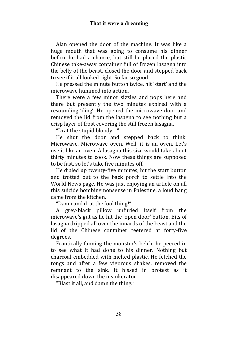### **That it were a dreaming**

Alan opened the door of the machine. It was like a huge mouth that was going to consume his dinner before he had a chance, but still he placed the plastic Chinese take-away container full of frozen lasagna into the belly of the beast, closed the door and stepped back to see if it all looked right. So far so good.

He pressed the minute button twice, hit 'start' and the microwave hummed into action.

There were a few minor sizzles and pops here and there but presently the two minutes expired with a resounding 'ding'. He opened the microwave door and removed the lid from the lasagna to see nothing but a crisp layer of frost covering the still frozen lasagna.

"Drat the stupid bloody ..."

He shut the door and stepped back to think. Microwave. Microwave oven. Well, it is an oven. Let's use it like an oven. A lasagna this size would take about thirty minutes to cook. Now these things are supposed to be fast, so let's take five minutes off.

He dialed up twenty-five minutes, hit the start button and trotted out to the back porch to settle into the World News page. He was just enjoying an article on all this suicide bombing nonsense in Palestine, a loud bang came from the kitchen.

"Damn and drat the fool thing!"

A grey-black pillow unfurled itself from the microwave's gut as he hit the 'open door' button. Bits of lasagna dripped all over the innards of the beast and the lid of the Chinese container teetered at forty-five degrees.

Frantically fanning the monster's belch, he peered in to see what it had done to his dinner. Nothing but charcoal embedded with melted plastic. He fetched the tongs and after a few vigorous shakes, removed the remnant to the sink. It hissed in protest as it disappeared down the insinkerator.

"Blast it all, and damn the thing."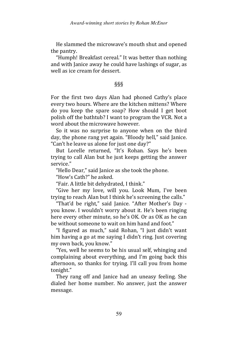He slammed the microwave's mouth shut and opened the pantry.

"Humph! Breakfast cereal." It was better than nothing and with Janice away he could have lashings of sugar, as well as ice cream for dessert.

# §§§

For the first two days Alan had phoned Cathy's place every two hours. Where are the kitchen mittens? Where do you keep the spare soap? How should I get boot polish off the bathtub? I want to program the VCR. Not a word about the microwave however.

So it was no surprise to anyone when on the third day, the phone rang yet again. "Bloody hell," said Janice. "Can't he leave us alone for just one day?"

But Lorelle returned, "It's Rohan. Says he's been trying to call Alan but he just keeps getting the answer service."

"Hello Dear," said Janice as she took the phone.

"How's Cath?" he asked.

"Fair. A little bit dehydrated, I think."

"Give her my love, will you. Look Mum, I've been trying to reach Alan but I think he's screening the calls."

"That'd be right," said Janice. "After Mother's Day you know. I wouldn't worry about it. He's been ringing here every other minute, so he's OK. Or as OK as he can be without someone to wait on him hand and foot."

"I figured as much," said Rohan, "I just didn't want him having a go at me saying I didn't ring. Just covering my own back, you know."

"Yes, well he seems to be his usual self, whinging and complaining about everything, and I'm going back this afternoon, so thanks for trying. I'll call you from home tonight."

They rang off and Janice had an uneasy feeling. She dialed her home number. No answer, just the answer message.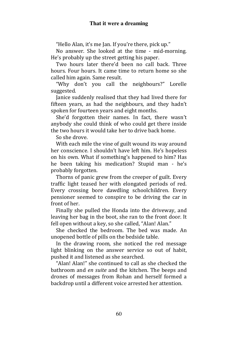"Hello Alan, it's me Jan. If you're there, pick up."

No answer. She looked at the time - mid-morning. He's probably up the street getting his paper.

Two hours later there'd been no call back. Three hours. Four hours. It came time to return home so she called him again. Same result.

"Why don't you call the neighbours?" Lorelle suggested.

Janice suddenly realised that they had lived there for fifteen years, as had the neighbours, and they hadn't spoken for fourteen years and eight months.

She'd forgotten their names. In fact, there wasn't anybody she could think of who could get there inside the two hours it would take her to drive back home.

So she drove.

With each mile the vine of guilt wound its way around her conscience. I shouldn't have left him. He's hopeless on his own. What if something's happened to him? Has he been taking his medication? Stupid man - he's probably forgotten.

Thorns of panic grew from the creeper of guilt. Every traffic light teased her with elongated periods of red. Every crossing bore dawdling schoolchildren. Every pensioner seemed to conspire to be driving the car in front of her.

Finally she pulled the Honda into the driveway, and leaving her bag in the boot, she ran to the front door. It fell open without a key, so she called, "Alan! Alan."

She checked the bedroom. The bed was made. An unopened bottle of pills on the bedside table.

In the drawing room, she noticed the red message light blinking on the answer service so out of habit, pushed it and listened as she searched.

"Alan! Alan!" she continued to call as she checked the bathroom and en suite and the kitchen. The beeps and drones of messages from Rohan and herself formed a backdrop until a different voice arrested her attention.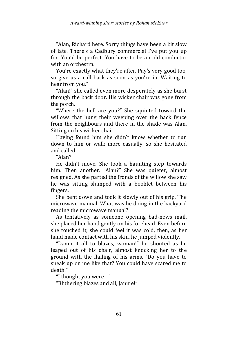"Alan, Richard here. Sorry things have been a bit slow of late. There's a Cadbury commercial I've put you up for. You'd be perfect. You have to be an old conductor with an orchestra.

You're exactly what they're after. Pay's very good too, so give us a call back as soon as you're in. Waiting to hear from you."

"Alan!" she called even more desperately as she burst through the back door. His wicker chair was gone from the porch.

"Where the hell are you?" She squinted toward the willows that hung their weeping over the back fence from the neighbours and there in the shade was Alan. Sitting on his wicker chair.

Having found him she didn't know whether to run down to him or walk more casually, so she hesitated and called.

"Alan?"

He didn't move. She took a haunting step towards him. Then another. "Alan?" She was quieter, almost resigned. As she parted the fronds of the willow she saw he was sitting slumped with a booklet between his fingers.

She bent down and took it slowly out of his grip. The microwave manual. What was he doing in the backyard reading the microwave manual?

As tentatively as someone opening bad-news mail, she placed her hand gently on his forehead. Even before she touched it, she could feel it was cold, then, as her hand made contact with his skin, he jumped violently.

"Damn it all to blazes, woman!" he shouted as he leaped out of his chair, almost knocking her to the ground with the flailing of his arms. "Do you have to sneak up on me like that? You could have scared me to death."

"I thought you were ..."

"Blithering blazes and all, Jannie!"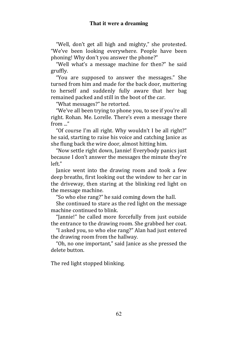"Well, don't get all high and mighty," she protested. "We've been looking everywhere. People have been phoning! Why don't you answer the phone?"

"Well what's a message machine for then?" he said gruffly.

"You are supposed to answer the messages." She turned from him and made for the back door, muttering to herself and suddenly fully aware that her bag remained packed and still in the boot of the car.

"What messages?" he retorted.

"We've all been trying to phone you, to see if you're all right. Rohan. Me. Lorelle. There's even a message there from ..."

"Of course I'm all right. Why wouldn't I be all right?" he said, starting to raise his voice and catching Janice as she flung back the wire door, almost hitting him.

"Now settle right down, Jannie! Everybody panics just because I don't answer the messages the minute they're left."

Janice went into the drawing room and took a few deep breaths, first looking out the window to her car in the driveway, then staring at the blinking red light on the message machine.

"So who else rang?" he said coming down the hall.

She continued to stare as the red light on the message machine continued to blink.

"Jannie!" he called more forcefully from just outside the entrance to the drawing room. She grabbed her coat.

"I asked you, so who else rang?" Alan had just entered the drawing room from the hallway.

"Oh, no one important," said Janice as she pressed the delete button.

The red light stopped blinking.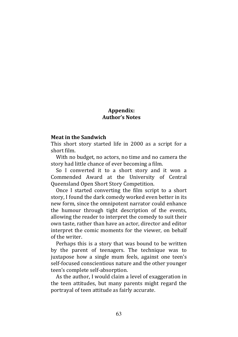# Appendix: Author's Notes

#### Meat in the Sandwich

This short story started life in 2000 as a script for a short film.

With no budget, no actors, no time and no camera the story had little chance of ever becoming a film.

So I converted it to a short story and it won a Commended Award at the University of Central Queensland Open Short Story Competition.

Once I started converting the film script to a short story, I found the dark comedy worked even better in its new form, since the omnipotent narrator could enhance the humour through tight description of the events, allowing the reader to interpret the comedy to suit their own taste, rather than have an actor, director and editor interpret the comic moments for the viewer, on behalf of the writer.

Perhaps this is a story that was bound to be written by the parent of teenagers. The technique was to juxtapose how a single mum feels, against one teen's self-focused conscientious nature and the other younger teen's complete self-absorption.

As the author, I would claim a level of exaggeration in the teen attitudes, but many parents might regard the portrayal of teen attitude as fairly accurate.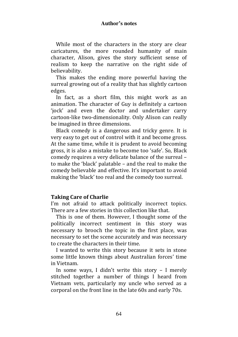While most of the characters in the story are clear caricatures, the more rounded humanity of main character, Alison, gives the story sufficient sense of realism to keep the narrative on the right side of believability.

This makes the ending more powerful having the surreal growing out of a reality that has slightly cartoon edges.

In fact, as a short film, this might work as an animation. The character of Guy is definitely a cartoon 'jock' and even the doctor and undertaker carry cartoon-like two-dimensionality. Only Alison can really be imagined in three dimensions.

Black comedy is a dangerous and tricky genre. It is very easy to get out of control with it and become gross. At the same time, while it is prudent to avoid becoming gross, it is also a mistake to become too 'safe'. So, Black comedy requires a very delicate balance of the surreal – to make the 'black' palatable – and the real to make the comedy believable and effective. It's important to avoid making the 'black' too real and the comedy too surreal.

# Taking Care of Charlie

I'm not afraid to attack politically incorrect topics. There are a few stories in this collection like that.

This is one of them. However, I thought some of the politically incorrect sentiment in this story was necessary to brooch the topic in the first place, was necessary to set the scene accurately and was necessary to create the characters in their time.

I wanted to write this story because it sets in stone some little known things about Australian forces' time in Vietnam.

In some ways, I didn't write this story – I merely stitched together a number of things I heard from Vietnam vets, particularly my uncle who served as a corporal on the front line in the late 60s and early 70s.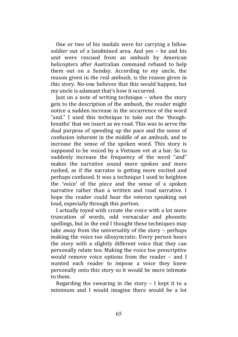One or two of his medals were for carrying a fellow soldier out of a landmined area. And yes – he and his unit were rescued from an ambush by American helicopters after Australian command refused to help them out on a Sunday. According to my uncle, the reason given in the real ambush, is the reason given in this story. No-one believes that this would happen, but my uncle is adamant that's how it occurred.

Just on a note of writing technique – when the story gets to the description of the ambush, the reader might notice a sudden increase in the occurrence of the word "and." I used this technique to take out the 'thoughbreaths' that we insert as we read. This was to serve the dual purpose of speeding up the pace and the sense of confusion inherent in the middle of an ambush, and to increase the sense of the spoken word. This story is supposed to be voiced by a Vietnam vet at a bar. So to suddenly increase the frequency of the word "and" makes the narrative sound more spoken and more rushed, as if the narrator is getting more excited and perhaps confused. It was a technique I used to heighten the 'voice' of the piece and the sense of a spoken narrative rather than a written and read narrative. I hope the reader could hear the veteran speaking out loud, especially through this portion.

I actually toyed with create the voice with a lot more truncation of words, odd vernacular and phonetic spellings, but in the end I thought these techniques may take away from the universality of the story – perhaps making the voice too idiosyncratic. Every person hears the story with a slightly different voice that they can personally relate too. Making the voice too prescriptive would remove voice options from the reader – and I wanted each reader to impose a voice they knew personally onto this story so it would be more intimate to them.

Regarding the swearing in the story – I kept it to a minimum and I would imagine there would be a lot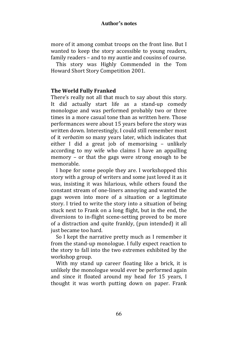### **Author's notes**

more of it among combat troops on the front line. But I wanted to keep the story accessible to young readers, family readers – and to my auntie and cousins of course.

This story was Highly Commended in the Tom Howard Short Story Competition 2001.

### The World Fully Franked

There's really not all that much to say about this story. It did actually start life as a stand-up comedy monologue and was performed probably two or three times in a more casual tone than as written here. Those performances were about 15 years before the story was written down. Interestingly, I could still remember most of it verbatim so many years later, which indicates that either I did a great job of memorising – unlikely according to my wife who claims I have an appalling memory – or that the gags were strong enough to be memorable.

I hope for some people they are. I workshopped this story with a group of writers and some just loved it as it was, insisting it was hilarious, while others found the constant stream of one-liners annoying and wanted the gags woven into more of a situation or a legitimate story. I tried to write the story into a situation of being stuck next to Frank on a long flight, but in the end, the diversions to in-flight scene-setting proved to be more of a distraction and quite frankly, (pun intended) it all just became too hard.

So I kept the narrative pretty much as I remember it from the stand-up monologue. I fully expect reaction to the story to fall into the two extremes exhibited by the workshop group.

With my stand up career floating like a brick, it is unlikely the monologue would ever be performed again and since it floated around my head for 15 years, I thought it was worth putting down on paper. Frank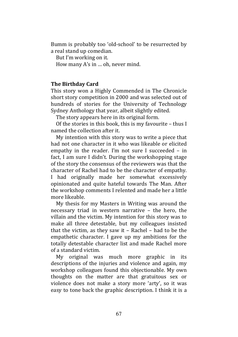Bumm is probably too 'old-school' to be resurrected by a real stand up comedian.

But I'm working on it.

How many A's in … oh, never mind.

# The Birthday Card

This story won a Highly Commended in The Chronicle short story competition in 2000 and was selected out of hundreds of stories for the University of Technology Sydney Anthology that year, albeit slightly edited.

The story appears here in its original form.

Of the stories in this book, this is my favourite – thus I named the collection after it.

My intention with this story was to write a piece that had not one character in it who was likeable or elicited empathy in the reader. I'm not sure I succeeded – in fact, I am sure I didn't. During the workshopping stage of the story the consensus of the reviewers was that the character of Rachel had to be the character of empathy. I had originally made her somewhat excessively opinionated and quite hateful towards The Man. After the workshop comments I relented and made her a little more likeable.

My thesis for my Masters in Writing was around the necessary triad in western narrative – the hero, the villain and the victim. My intention for this story was to make all three detestable, but my colleagues insisted that the victim, as they saw it – Rachel – had to be the empathetic character. I gave up my ambitions for the totally detestable character list and made Rachel more of a standard victim.

My original was much more graphic in its descriptions of the injuries and violence and again, my workshop colleagues found this objectionable. My own thoughts on the matter are that gratuitous sex or violence does not make a story more 'arty', so it was easy to tone back the graphic description. I think it is a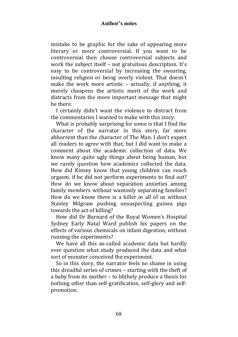### **Author's notes**

mistake to be graphic for the sake of appearing more literary or more controversial. If you want to be controversial then choose controversial subjects and work the subject itself – not gratuitous description. It's easy to be controversial by increasing the swearing, insulting religion or being overly violent. That doesn't make the work more artistic – actually, if anything, it merely cheapens the artistic merit of the work and distracts from the more important message that might be there.

I certainly didn't want the violence to distract from the commentaries I wanted to make with this story.

What is probably surprising for some is that I find the character of the narrator in this story, far more abhorrent than the character of The Man. I don't expect all readers to agree with that, but I did want to make a comment about the academic collection of data. We know many quite ugly things about being human, but we rarely question how academics collected the data. How did Kinsey know that young children can reach orgasm, if he did not perform experiments to find out? How do we know about separation anxieties among family members without wantonly separating families? How do we know there is a killer in all of us without Stanley Milgram pushing unsuspecting guinea pigs towards the act of killing?

How did Dr Burnard of the Royal Women's Hospital Sydney Early Natal Ward publish his papers on the effects of various chemicals on infant digestion, without running the experiments?

We have all this so-called academic data but hardly ever question what study produced the data and what sort of monster conceived the experiment.

So in this story, the narrator feels no shame in using this dreadful series of crimes – starting with the theft of a baby from its mother – to blithely produce a thesis for nothing other than self-gratification, self-glory and selfpromotion.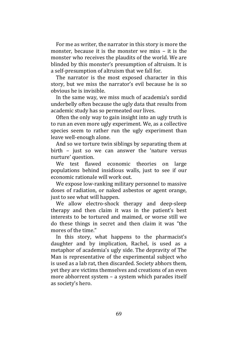For me as writer, the narrator in this story is more the monster, because it is the monster we miss – it is the monster who receives the plaudits of the world. We are blinded by this monster's presumption of altruism. It is a self-presumption of altruism that we fall for.

The narrator is the most exposed character in this story, but we miss the narrator's evil because he is so obvious he is invisible.

In the same way, we miss much of academia's sordid underbelly often because the ugly data that results from academic study has so permeated our lives.

Often the only way to gain insight into an ugly truth is to run an even more ugly experiment. We, as a collective species seem to rather run the ugly experiment than leave well-enough alone.

And so we torture twin siblings by separating them at birth – just so we can answer the 'nature versus nurture' question.

We test flawed economic theories on large populations behind insidious walls, just to see if our economic rationale will work out.

We expose low-ranking military personnel to massive doses of radiation, or naked asbestos or agent orange, just to see what will happen.

We allow electro-shock therapy and deep-sleep therapy and then claim it was in the patient's best interests to be tortured and maimed, or worse still we do these things in secret and then claim it was "the mores of the time."

In this story, what happens to the pharmacist's daughter and by implication, Rachel, is used as a metaphor of academia's ugly side. The depravity of The Man is representative of the experimental subject who is used as a lab rat, then discarded. Society abhors them, yet they are victims themselves and creations of an even more abhorrent system – a system which parades itself as society's hero.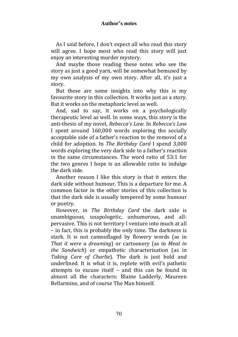### **Author's notes**

As I said before, I don't expect all who read this story will agree. I hope most who read this story will just enjoy an interesting murder mystery.

And maybe those reading these notes who see the story as just a good yarn, will be somewhat bemused by my own analysis of my own story. After all, it's just a story.

But these are some insights into why this is my favourite story in this collection. It works just as a story. But it works on the metaphoric level as well.

And, sad to say, it works on a psychologically therapeutic level as well. In some ways, this story is the anti-thesis of my novel, Rebecca's Law. In Rebecca's Law I spent around 160,000 words exploring the socially acceptable side of a father's reaction to the removal of a child for adoption. In The Birthday Card I spend 3,000 words exploring the very dark side to a father's reaction in the same circumstances. The word ratio of 53:1 for the two genres I hope is an allowable ratio to indulge the dark side.

Another reason I like this story is that it enters the dark side without humour. This is a departure for me. A common factor in the other stories of this collection is that the dark side is usually tempered by some humour or poetry.

However, in The Birthday Card the dark side is unambiguous, unapologetic, unhumorous, and allpervasive. This is not territory I venture into much at all – in fact, this is probably the only time. The darkness is stark. It is not camouflaged by flowery words (as in That it were a dreaming) or cartoonery (as in Meat in the Sandwich) or empathetic characterisation (as in Taking Care of Charlie). The dark is just bold and underlined. It is what it is, replete with evil's pathetic attempts to excuse itself – and this can be found in almost all the characters: Blaine Ladderly, Maureen Bellarmine, and of course The Man himself.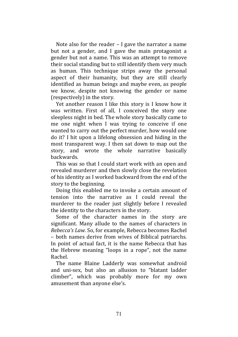Note also for the reader – I gave the narrator a name but not a gender, and I gave the main protagonist a gender but not a name. This was an attempt to remove their social standing but to still identify them very much as human. This technique strips away the personal aspect of their humanity, but they are still clearly identified as human beings and maybe even, as people we know, despite not knowing the gender or name (respectively) in the story.

Yet another reason I like this story is I know how it was written. First of all, I conceived the story one sleepless night in bed. The whole story basically came to me one night when I was trying to conceive if one wanted to carry out the perfect murder, how would one do it? I hit upon a lifelong obsession and hiding in the most transparent way. I then sat down to map out the story, and wrote the whole narrative basically backwards.

This was so that I could start work with an open and revealed murderer and then slowly close the revelation of his identity as I worked backward from the end of the story to the beginning.

Doing this enabled me to invoke a certain amount of tension into the narrative as I could reveal the murderer to the reader just slightly before I revealed the identity to the characters in the story.

Some of the character names in the story are significant. Many allude to the names of characters in Rebecca's Law. So, for example, Rebecca becomes Rachel – both names derive from wives of Biblical patriarchs. In point of actual fact, it is the name Rebecca that has the Hebrew meaning "loops in a rope", not the name Rachel.

The name Blaine Ladderly was somewhat android and uni-sex, but also an allusion to "blatant ladder climber", which was probably more for my own amusement than anyone else's.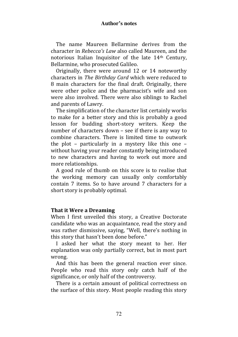### **Author's notes**

The name Maureen Bellarmine derives from the character in Rebecca's Law also called Maureen, and the notorious Italian Inquisitor of the late 14th Century, Bellarmine, who prosecuted Galileo.

Originally, there were around 12 or 14 noteworthy characters in The Birthday Card which were reduced to 8 main characters for the final draft. Originally, there were other police and the pharmacist's wife and son were also involved. There were also siblings to Rachel and parents of Lawry.

The simplification of the character list certainly works to make for a better story and this is probably a good lesson for budding short-story writers. Keep the number of characters down – see if there is any way to combine characters. There is limited time to outwork the plot – particularly in a mystery like this one – without having your reader constantly being introduced to new characters and having to work out more and more relationships.

A good rule of thumb on this score is to realise that the working memory can usually only comfortably contain 7 items. So to have around 7 characters for a short story is probably optimal.

### That it Were a Dreaming

When I first unveiled this story, a Creative Doctorate candidate who was an acquaintance, read the story and was rather dismissive, saying, "Well, there's nothing in this story that hasn't been done before."

I asked her what the story meant to her. Her explanation was only partially correct, but in most part wrong.

And this has been the general reaction ever since. People who read this story only catch half of the significance, or only half of the controversy.

There is a certain amount of political correctness on the surface of this story. Most people reading this story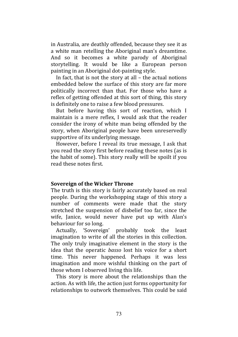in Australia, are deathly offended, because they see it as a white man retelling the Aboriginal man's dreamtime. And so it becomes a white parody of Aboriginal storytelling. It would be like a European person painting in an Aboriginal dot-painting style.

In fact, that is not the story at all – the actual notions embedded below the surface of this story are far more politically incorrect than that. For those who have a reflex of getting offended at this sort of thing, this story is definitely one to raise a few blood pressures.

But before having this sort of reaction, which I maintain is a mere reflex, I would ask that the reader consider the irony of white man being offended by the story, when Aboriginal people have been unreservedly supportive of its underlying message.

However, before I reveal its true message, I ask that you read the story first before reading these notes (as is the habit of some). This story really will be spoilt if you read these notes first.

## Sovereign of the Wicker Throne

The truth is this story is fairly accurately based on real people. During the workshopping stage of this story a number of comments were made that the story stretched the suspension of disbelief too far, since the wife, Janice, would never have put up with Alan's behaviour for so long.

Actually, 'Sovereign' probably took the least imagination to write of all the stories in this collection. The only truly imaginative element in the story is the idea that the operatic basso lost his voice for a short time. This never happened. Perhaps it was less imagination and more wishful thinking on the part of those whom I observed living this life.

This story is more about the relationships than the action. As with life, the action just forms opportunity for relationships to outwork themselves. This could be said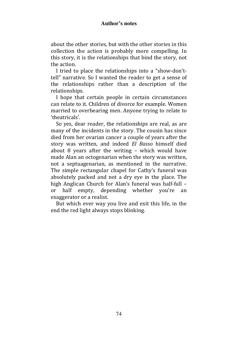## **Author's notes**

about the other stories, but with the other stories in this collection the action is probably more compelling. In this story, it is the relationships that bind the story, not the action.

I tried to place the relationships into a "show-don'ttell" narrative. So I wanted the reader to get a sense of the relationships rather than a description of the relationships.

I hope that certain people in certain circumstances can relate to it. Children of divorce for example. Women married to overbearing men. Anyone trying to relate to 'theatricals'.

So yes, dear reader, the relationships are real, as are many of the incidents in the story. The cousin has since died from her ovarian cancer a couple of years after the story was written, and indeed El Basso himself died about 8 years after the writing – which would have made Alan an octogenarian when the story was written, not a septuagenarian, as mentioned in the narrative. The simple rectangular chapel for Cathy's funeral was absolutely packed and not a dry eye in the place. The high Anglican Church for Alan's funeral was half-full – or half empty, depending whether you're an exaggerator or a realist.

But which ever way you live and exit this life, in the end the red light always stops blinking.